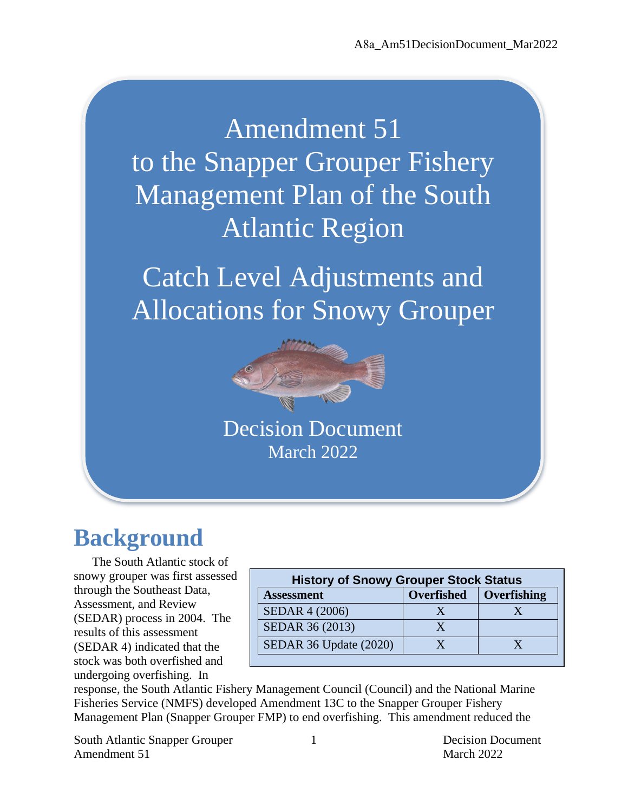Amendment 51 to the Snapper Grouper Fishery Management Plan of the South Atlantic Region

Catch Level Adjustments and Allocations for Snowy Grouper



Decision Document March 2022

# **Background**

The South Atlantic stock of snowy grouper was first assessed through the Southeast Data, Assessment, and Review (SEDAR) process in 2004. The results of this assessment (SEDAR 4) indicated that the stock was both overfished and undergoing overfishing. In

| <b>History of Snowy Grouper Stock Status</b> |                          |  |  |  |  |  |  |
|----------------------------------------------|--------------------------|--|--|--|--|--|--|
| <b>Assessment</b>                            | Overfished   Overfishing |  |  |  |  |  |  |
| <b>SEDAR 4 (2006)</b>                        |                          |  |  |  |  |  |  |
| SEDAR 36 (2013)                              |                          |  |  |  |  |  |  |
| SEDAR 36 Update (2020)                       |                          |  |  |  |  |  |  |

response, the South Atlantic Fishery Management Council (Council) and the National Marine Fisheries Service (NMFS) developed Amendment 13C to the Snapper Grouper Fishery Management Plan (Snapper Grouper FMP) to end overfishing. This amendment reduced the

South Atlantic Snapper Grouper 1 1 Decision Document Amendment 51 March 2022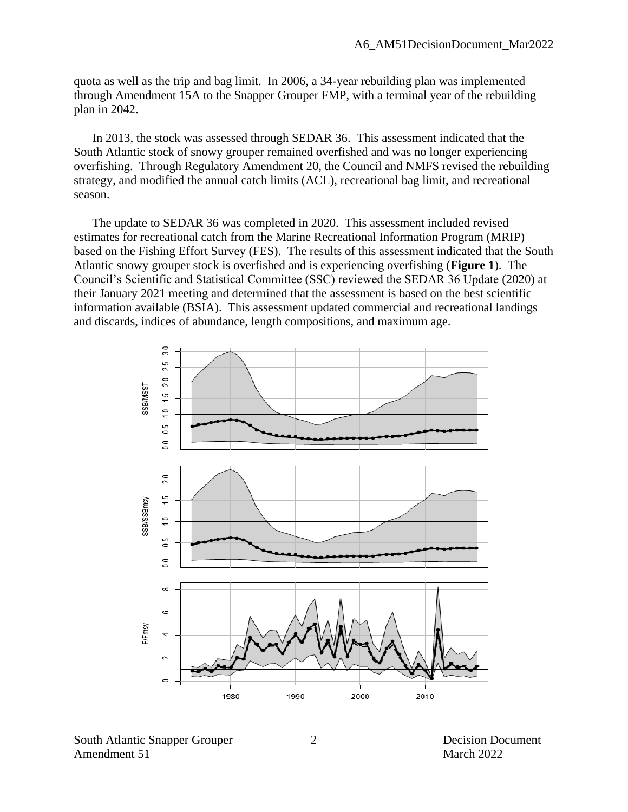quota as well as the trip and bag limit. In 2006, a 34-year rebuilding plan was implemented through Amendment 15A to the Snapper Grouper FMP, with a terminal year of the rebuilding plan in 2042.

In 2013, the stock was assessed through SEDAR 36. This assessment indicated that the South Atlantic stock of snowy grouper remained overfished and was no longer experiencing overfishing. Through Regulatory Amendment 20, the Council and NMFS revised the rebuilding strategy, and modified the annual catch limits (ACL), recreational bag limit, and recreational season.

The update to SEDAR 36 was completed in 2020. This assessment included revised estimates for recreational catch from the Marine Recreational Information Program (MRIP) based on the Fishing Effort Survey (FES). The results of this assessment indicated that the South Atlantic snowy grouper stock is overfished and is experiencing overfishing (**Figure 1**). The Council's Scientific and Statistical Committee (SSC) reviewed the SEDAR 36 Update (2020) at their January 2021 meeting and determined that the assessment is based on the best scientific information available (BSIA). This assessment updated commercial and recreational landings and discards, indices of abundance, length compositions, and maximum age.



South Atlantic Snapper Grouper 2 Decision Document Amendment 51 March 2022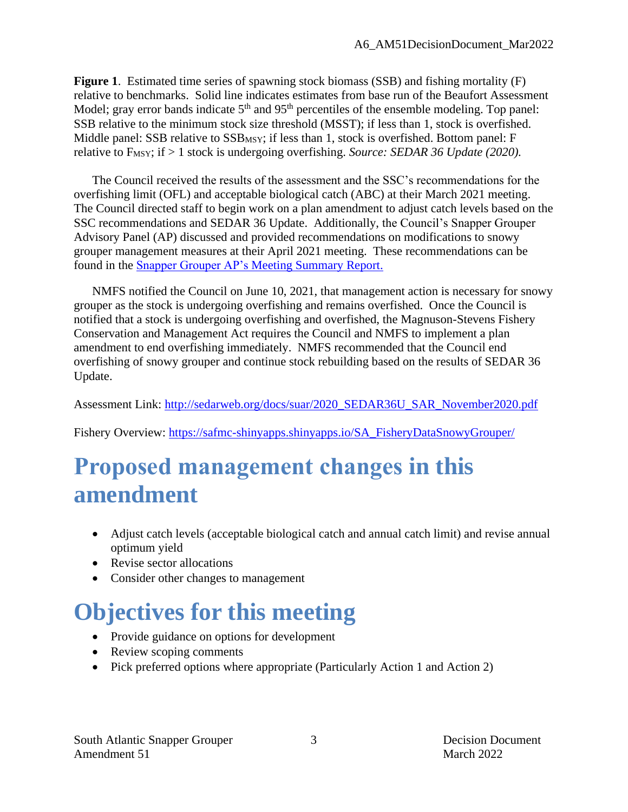**Figure 1**. Estimated time series of spawning stock biomass (SSB) and fishing mortality (F) relative to benchmarks. Solid line indicates estimates from base run of the Beaufort Assessment Model; gray error bands indicate  $5<sup>th</sup>$  and  $95<sup>th</sup>$  percentiles of the ensemble modeling. Top panel: SSB relative to the minimum stock size threshold (MSST); if less than 1, stock is overfished. Middle panel: SSB relative to SSB<sub>MSY</sub>; if less than 1, stock is overfished. Bottom panel: F relative to F<sub>MSY</sub>; if > 1 stock is undergoing overfishing. *Source: SEDAR 36 Update (2020)*.

The Council received the results of the assessment and the SSC's recommendations for the overfishing limit (OFL) and acceptable biological catch (ABC) at their March 2021 meeting. The Council directed staff to begin work on a plan amendment to adjust catch levels based on the SSC recommendations and SEDAR 36 Update. Additionally, the Council's Snapper Grouper Advisory Panel (AP) discussed and provided recommendations on modifications to snowy grouper management measures at their April 2021 meeting. These recommendations can be found in the [Snapper Grouper AP's Meeting Summary Report.](https://safmc.net/briefing-books/briefing-book-2021-september-council-meeting/)

NMFS notified the Council on June 10, 2021, that management action is necessary for snowy grouper as the stock is undergoing overfishing and remains overfished. Once the Council is notified that a stock is undergoing overfishing and overfished, the Magnuson-Stevens Fishery Conservation and Management Act requires the Council and NMFS to implement a plan amendment to end overfishing immediately. NMFS recommended that the Council end overfishing of snowy grouper and continue stock rebuilding based on the results of SEDAR 36 Update.

Assessment Link: [http://sedarweb.org/docs/suar/2020\\_SEDAR36U\\_SAR\\_November2020.pdf](http://sedarweb.org/docs/suar/2020_SEDAR36U_SAR_November2020.pdf)

Fishery Overview: [https://safmc-shinyapps.shinyapps.io/SA\\_FisheryDataSnowyGrouper/](https://safmc-shinyapps.shinyapps.io/SA_FisheryDataSnowyGrouper/)

# **Proposed management changes in this amendment**

- Adjust catch levels (acceptable biological catch and annual catch limit) and revise annual optimum yield
- Revise sector allocations
- Consider other changes to management

# **Objectives for this meeting**

- Provide guidance on options for development
- Review scoping comments
- Pick preferred options where appropriate (Particularly Action 1 and Action 2)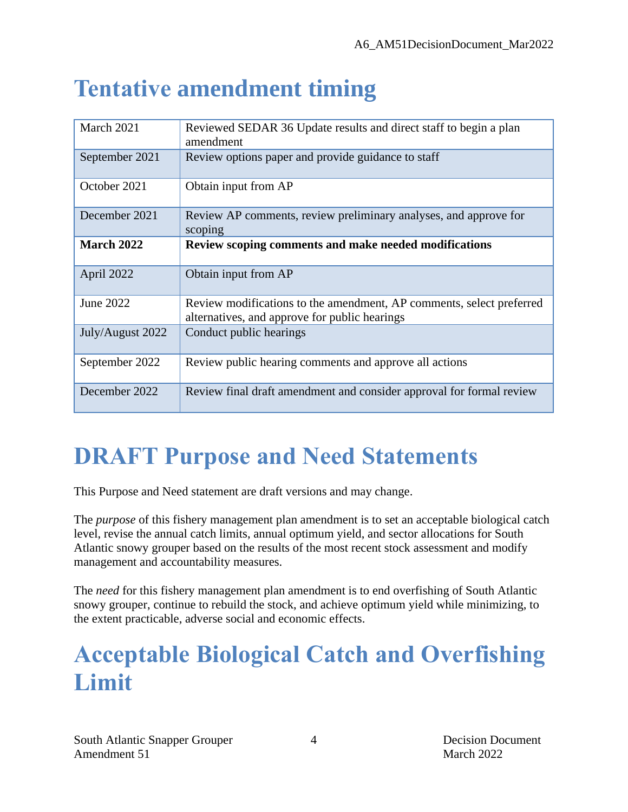# **Tentative amendment timing**

| March 2021        | Reviewed SEDAR 36 Update results and direct staff to begin a plan<br>amendment                                        |
|-------------------|-----------------------------------------------------------------------------------------------------------------------|
| September 2021    | Review options paper and provide guidance to staff                                                                    |
| October 2021      | Obtain input from AP                                                                                                  |
| December 2021     | Review AP comments, review preliminary analyses, and approve for<br>scoping                                           |
| <b>March 2022</b> | Review scoping comments and make needed modifications                                                                 |
| April 2022        | Obtain input from AP                                                                                                  |
| June 2022         | Review modifications to the amendment, AP comments, select preferred<br>alternatives, and approve for public hearings |
| July/August 2022  | Conduct public hearings                                                                                               |
| September 2022    | Review public hearing comments and approve all actions                                                                |
| December 2022     | Review final draft amendment and consider approval for formal review                                                  |

# **DRAFT Purpose and Need Statements**

This Purpose and Need statement are draft versions and may change.

The *purpose* of this fishery management plan amendment is to set an acceptable biological catch level, revise the annual catch limits, annual optimum yield, and sector allocations for South Atlantic snowy grouper based on the results of the most recent stock assessment and modify management and accountability measures.

The *need* for this fishery management plan amendment is to end overfishing of South Atlantic snowy grouper, continue to rebuild the stock, and achieve optimum yield while minimizing, to the extent practicable, adverse social and economic effects.

# **Acceptable Biological Catch and Overfishing Limit**

4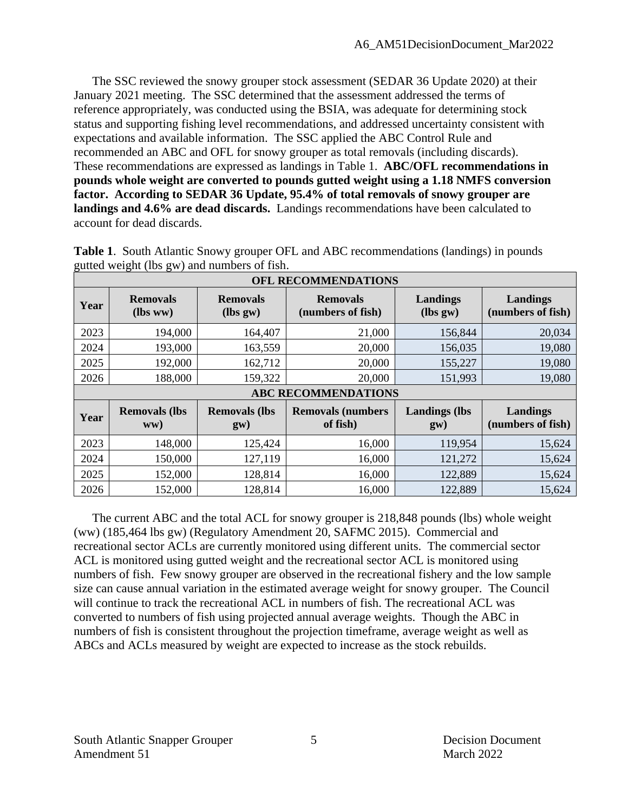The SSC reviewed the snowy grouper stock assessment (SEDAR 36 Update 2020) at their January 2021 meeting. The SSC determined that the assessment addressed the terms of reference appropriately, was conducted using the BSIA, was adequate for determining stock status and supporting fishing level recommendations, and addressed uncertainty consistent with expectations and available information. The SSC applied the ABC Control Rule and recommended an ABC and OFL for snowy grouper as total removals (including discards). These recommendations are expressed as landings in Table 1. **ABC/OFL recommendations in pounds whole weight are converted to pounds gutted weight using a 1.18 NMFS conversion factor. According to SEDAR 36 Update, 95.4% of total removals of snowy grouper are landings and 4.6% are dead discards.** Landings recommendations have been calculated to account for dead discards.

| <b>OFL RECOMMENDATIONS</b> |                             |                             |                                      |                                     |                               |  |  |  |  |  |
|----------------------------|-----------------------------|-----------------------------|--------------------------------------|-------------------------------------|-------------------------------|--|--|--|--|--|
| Year                       | <b>Removals</b><br>(lbs ww) | <b>Removals</b><br>(lbs gw) | <b>Removals</b><br>(numbers of fish) | Landings<br>$lbs gw$                | Landings<br>(numbers of fish) |  |  |  |  |  |
| 2023                       | 194,000                     | 164,407                     | 21,000                               | 156,844                             | 20,034                        |  |  |  |  |  |
| 2024                       | 193,000                     | 163,559                     | 20,000                               | 156,035                             | 19,080                        |  |  |  |  |  |
| 2025                       | 192,000                     | 162,712                     | 20,000                               | 155,227                             | 19,080                        |  |  |  |  |  |
| 2026                       | 188,000                     | 159,322                     | 20,000                               | 151,993                             | 19,080                        |  |  |  |  |  |
|                            |                             |                             |                                      |                                     | <b>ABC RECOMMENDATIONS</b>    |  |  |  |  |  |
|                            |                             |                             |                                      |                                     |                               |  |  |  |  |  |
| Year                       | <b>Removals (lbs</b><br>WW) | <b>Removals (lbs</b><br>gw) | <b>Removals (numbers</b><br>of fish) | <b>Landings</b> (lbs<br>$g_{\rm W}$ | Landings<br>(numbers of fish) |  |  |  |  |  |
| 2023                       | 148,000                     | 125,424                     | 16,000                               | 119,954                             | 15,624                        |  |  |  |  |  |
| 2024                       | 150,000                     | 127,119                     | 16,000                               | 121,272                             | 15,624                        |  |  |  |  |  |
| 2025                       | 152,000                     | 128,814                     | 16,000                               | 122,889                             | 15,624                        |  |  |  |  |  |

**Table 1**. South Atlantic Snowy grouper OFL and ABC recommendations (landings) in pounds gutted weight (lbs gw) and numbers of fish.

The current ABC and the total ACL for snowy grouper is 218,848 pounds (lbs) whole weight (ww) (185,464 lbs gw) (Regulatory Amendment 20, SAFMC 2015). Commercial and recreational sector ACLs are currently monitored using different units. The commercial sector ACL is monitored using gutted weight and the recreational sector ACL is monitored using numbers of fish. Few snowy grouper are observed in the recreational fishery and the low sample size can cause annual variation in the estimated average weight for snowy grouper. The Council will continue to track the recreational ACL in numbers of fish. The recreational ACL was converted to numbers of fish using projected annual average weights. Though the ABC in numbers of fish is consistent throughout the projection timeframe, average weight as well as ABCs and ACLs measured by weight are expected to increase as the stock rebuilds.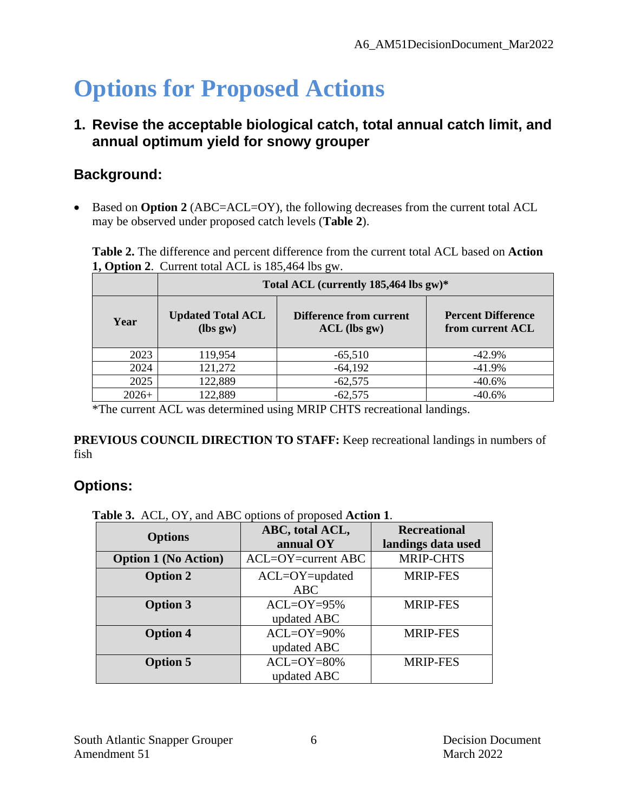# **Options for Proposed Actions**

#### **1. Revise the acceptable biological catch, total annual catch limit, and annual optimum yield for snowy grouper**

## **Background:**

• Based on **Option 2** (ABC=ACL=OY), the following decreases from the current total ACL may be observed under proposed catch levels (**Table 2**).

**Table 2.** The difference and percent difference from the current total ACL based on **Action 1, Option 2**. Current total ACL is 185,464 lbs gw.

|         | Total ACL (currently 185,464 lbs gw)*  |                                                  |                                               |  |  |
|---------|----------------------------------------|--------------------------------------------------|-----------------------------------------------|--|--|
| Year    | <b>Updated Total ACL</b><br>$(lbs gw)$ | <b>Difference from current</b><br>$ACL$ (lbs gw) | <b>Percent Difference</b><br>from current ACL |  |  |
| 2023    | 119,954                                | $-65,510$                                        | $-42.9\%$                                     |  |  |
| 2024    | 121,272                                | $-64,192$                                        | $-41.9%$                                      |  |  |
| 2025    | 122,889                                | $-62,575$                                        | $-40.6%$                                      |  |  |
| $2026+$ | 122,889                                | $-62,575$                                        | $-40.6%$                                      |  |  |

\*The current ACL was determined using MRIP CHTS recreational landings.

**PREVIOUS COUNCIL DIRECTION TO STAFF:** Keep recreational landings in numbers of fish

## **Options:**

**Table 3.** ACL, OY, and ABC options of proposed **Action 1**.

| <b>Options</b>              | ABC, total ACL,<br>annual OY | <b>Recreational</b> |  |
|-----------------------------|------------------------------|---------------------|--|
|                             |                              | landings data used  |  |
| <b>Option 1 (No Action)</b> | $ACL=OY=current ABC$         | <b>MRIP-CHTS</b>    |  |
| <b>Option 2</b>             | ACL=OY=updated               | <b>MRIP-FES</b>     |  |
|                             | <b>ABC</b>                   |                     |  |
| <b>Option 3</b>             | $ACL=OY=95%$                 | <b>MRIP-FES</b>     |  |
|                             | updated ABC                  |                     |  |
| <b>Option 4</b>             | $ACL=OY=90%$                 | <b>MRIP-FES</b>     |  |
|                             | updated ABC                  |                     |  |
| <b>Option 5</b>             | $ACL=OY=80%$                 | <b>MRIP-FES</b>     |  |
|                             | updated ABC                  |                     |  |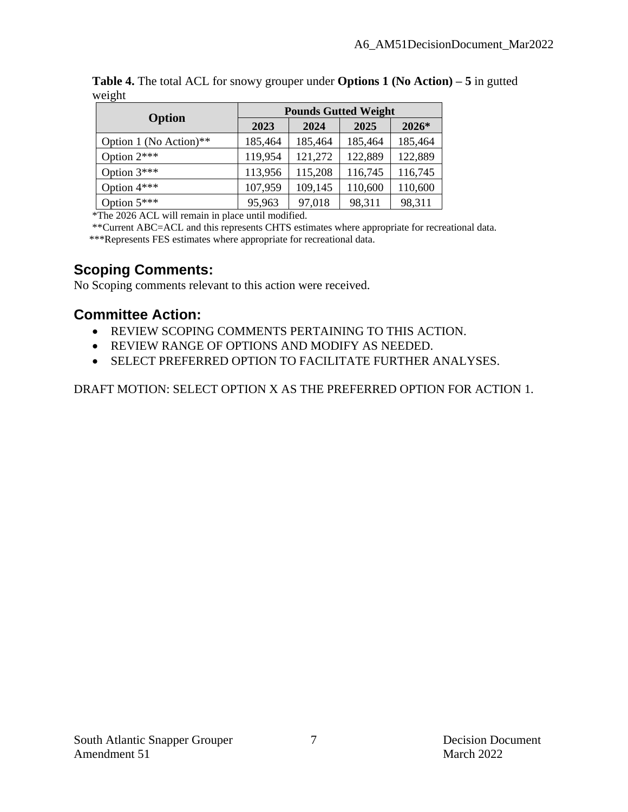| $\sqrt{2}$             | <b>Pounds Gutted Weight</b> |         |         |         |  |  |
|------------------------|-----------------------------|---------|---------|---------|--|--|
| Option                 | 2023                        | 2024    | 2025    | $2026*$ |  |  |
| Option 1 (No Action)** | 185,464                     | 185,464 | 185,464 | 185,464 |  |  |
| Option $2***$          | 119,954                     | 121,272 | 122,889 | 122,889 |  |  |
| Option $3***$          | 113,956                     | 115,208 | 116,745 | 116,745 |  |  |
| Option $4***$          | 107,959                     | 109,145 | 110,600 | 110,600 |  |  |
| Option $5***$          | 95,963                      | 97,018  | 98,311  | 98,311  |  |  |

**Table 4.** The total ACL for snowy grouper under **Options 1 (No Action) – 5** in gutted weight

\*The 2026 ACL will remain in place until modified.

\*\*Current ABC=ACL and this represents CHTS estimates where appropriate for recreational data.

\*\*\*Represents FES estimates where appropriate for recreational data.

#### **Scoping Comments:**

No Scoping comments relevant to this action were received.

### **Committee Action:**

- REVIEW SCOPING COMMENTS PERTAINING TO THIS ACTION.
- REVIEW RANGE OF OPTIONS AND MODIFY AS NEEDED.
- SELECT PREFERRED OPTION TO FACILITATE FURTHER ANALYSES.

DRAFT MOTION: SELECT OPTION X AS THE PREFERRED OPTION FOR ACTION 1.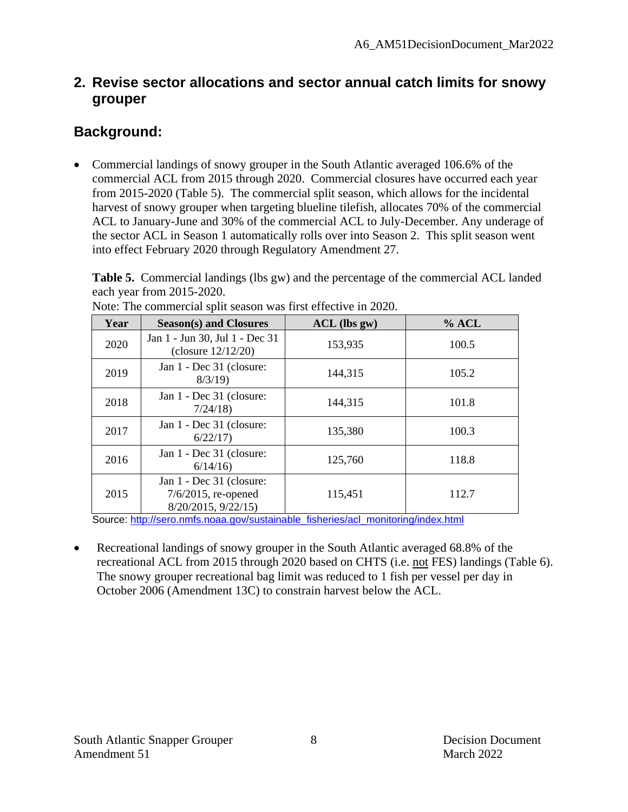#### **2. Revise sector allocations and sector annual catch limits for snowy grouper**

## **Background:**

• Commercial landings of snowy grouper in the South Atlantic averaged 106.6% of the commercial ACL from 2015 through 2020. Commercial closures have occurred each year from 2015-2020 (Table 5). The commercial split season, which allows for the incidental harvest of snowy grouper when targeting blueline tilefish, allocates 70% of the commercial ACL to January-June and 30% of the commercial ACL to July-December. Any underage of the sector ACL in Season 1 automatically rolls over into Season 2. This split season went into effect February 2020 through Regulatory Amendment 27.

**Table 5.** Commercial landings (lbs gw) and the percentage of the commercial ACL landed each year from 2015-2020.

| Year | <b>Season(s) and Closures</b>                                                   | $ACL$ (lbs gw) | $%$ ACL |
|------|---------------------------------------------------------------------------------|----------------|---------|
| 2020 | Jan 1 - Jun 30, Jul 1 - Dec 31<br>(closure $12/12/20$ )                         | 153,935        | 100.5   |
| 2019 | Jan 1 - Dec 31 (closure:<br>8/3/19                                              | 144,315        | 105.2   |
| 2018 | Jan 1 - Dec 31 (closure:<br>7/24/18                                             | 144,315        | 101.8   |
| 2017 | Jan 1 - Dec 31 (closure:<br>6/22/17                                             | 135,380        | 100.3   |
| 2016 | Jan 1 - Dec 31 (closure:<br>6/14/16                                             | 125,760        | 118.8   |
| 2015 | Jan 1 - Dec 31 (closure:<br>$7/6/2015$ , re-opened<br>$8/20/2015$ , $9/22/15$ ) | 115,451        | 112.7   |

Note: The commercial split season was first effective in 2020.

Source: [http://sero.nmfs.noaa.gov/sustainable\\_fisheries/acl\\_monitoring/index.html](http://sero.nmfs.noaa.gov/sustainable_fisheries/acl_monitoring/index.html)

• Recreational landings of snowy grouper in the South Atlantic averaged 68.8% of the recreational ACL from 2015 through 2020 based on CHTS (i.e. not FES) landings (Table 6). The snowy grouper recreational bag limit was reduced to 1 fish per vessel per day in October 2006 (Amendment 13C) to constrain harvest below the ACL.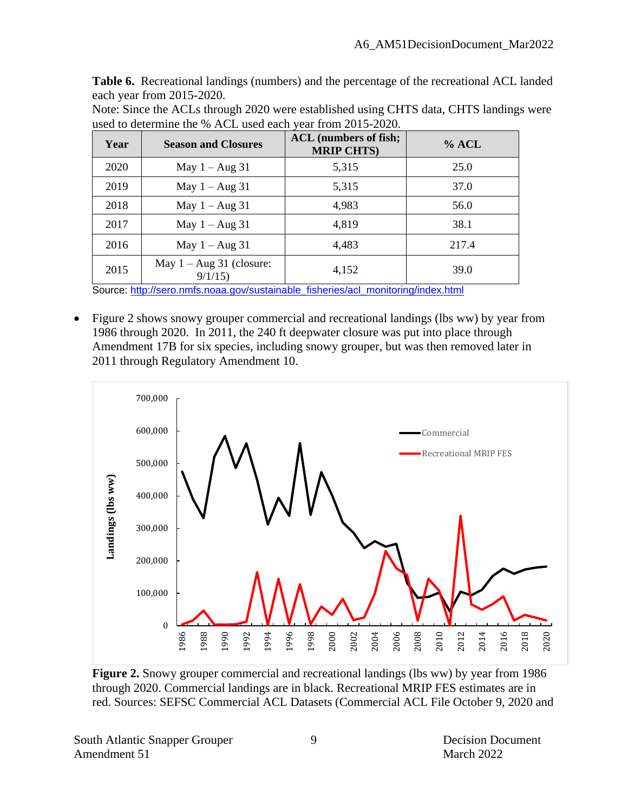**Table 6.** Recreational landings (numbers) and the percentage of the recreational ACL landed each year from 2015-2020.

Note: Since the ACLs through 2020 were established using CHTS data, CHTS landings were used to determine the % ACL used each year from 2015-2020.

| Year | <b>Season and Closures</b>            | <b>ACL</b> (numbers of fish;<br><b>MRIP CHTS)</b> | $%$ ACL |
|------|---------------------------------------|---------------------------------------------------|---------|
| 2020 | May $1 - Aug\ 31$                     | 5,315                                             | 25.0    |
| 2019 | May $1 - Aug\ 31$                     | 5,315                                             | 37.0    |
| 2018 | May $1 - Aug\ 31$                     | 4,983                                             | 56.0    |
| 2017 | May $1 - Aug$ 31                      | 4,819                                             | 38.1    |
| 2016 | May $1 - Aug$ 31                      | 4,483                                             | 217.4   |
| 2015 | May $1 - Aug\ 31$ (closure:<br>9/1/15 | 4,152                                             | 39.0    |

Source: [http://sero.nmfs.noaa.gov/sustainable\\_fisheries/acl\\_monitoring/index.html](http://sero.nmfs.noaa.gov/sustainable_fisheries/acl_monitoring/index.html)

• Figure 2 shows snowy grouper commercial and recreational landings (lbs ww) by year from 1986 through 2020. In 2011, the 240 ft deepwater closure was put into place through Amendment 17B for six species, including snowy grouper, but was then removed later in 2011 through Regulatory Amendment 10.



**Figure 2.** Snowy grouper commercial and recreational landings (lbs ww) by year from 1986 through 2020. Commercial landings are in black. Recreational MRIP FES estimates are in red. Sources: SEFSC Commercial ACL Datasets (Commercial ACL File October 9, 2020 and

South Atlantic Snapper Grouper 9 9 Decision Document Amendment 51 March 2022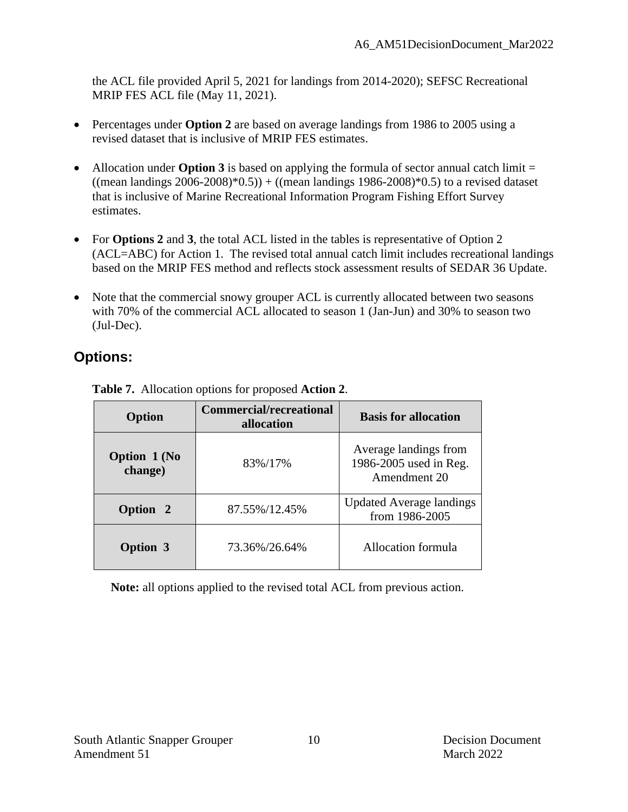the ACL file provided April 5, 2021 for landings from 2014-2020); SEFSC Recreational MRIP FES ACL file (May 11, 2021).

- Percentages under **Option 2** are based on average landings from 1986 to 2005 using a revised dataset that is inclusive of MRIP FES estimates.
- Allocation under **Option 3** is based on applying the formula of sector annual catch limit = ((mean landings  $2006-2008$ )\* $0.5$ )) + ((mean landings 1986-2008)\* $0.5$ ) to a revised dataset that is inclusive of Marine Recreational Information Program Fishing Effort Survey estimates.
- For **Options 2** and 3, the total ACL listed in the tables is representative of Option 2 (ACL=ABC) for Action 1. The revised total annual catch limit includes recreational landings based on the MRIP FES method and reflects stock assessment results of SEDAR 36 Update.
- Note that the commercial snowy grouper ACL is currently allocated between two seasons with 70% of the commercial ACL allocated to season 1 (Jan-Jun) and 30% to season two (Jul-Dec).

# **Options:**

| <b>Option</b>                  | <b>Commercial/recreational</b><br>allocation | <b>Basis for allocation</b>                                     |
|--------------------------------|----------------------------------------------|-----------------------------------------------------------------|
| <b>Option 1 (No</b><br>change) | 83%/17%                                      | Average landings from<br>1986-2005 used in Reg.<br>Amendment 20 |
| Option 2                       | 87.55%/12.45%                                | <b>Updated Average landings</b><br>from 1986-2005               |
| <b>Option 3</b>                | 73.36%/26.64%                                | Allocation formula                                              |

**Table 7.** Allocation options for proposed **Action 2**.

**Note:** all options applied to the revised total ACL from previous action.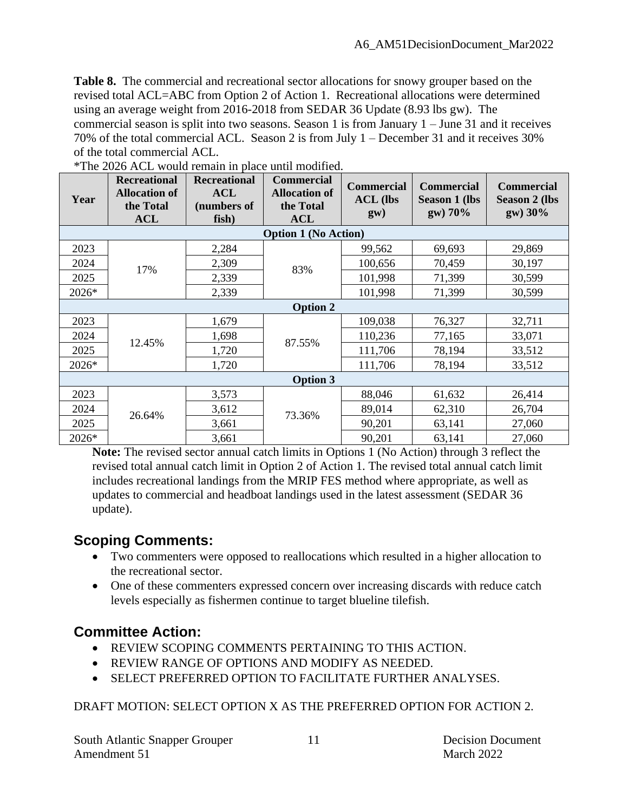**Table 8.** The commercial and recreational sector allocations for snowy grouper based on the revised total ACL=ABC from Option 2 of Action 1. Recreational allocations were determined using an average weight from 2016-2018 from SEDAR 36 Update (8.93 lbs gw). The commercial season is split into two seasons. Season 1 is from January  $1 -$  June 31 and it receives 70% of the total commercial ACL. Season 2 is from July 1 – December 31 and it receives 30% of the total commercial ACL.

| Year            | <b>Recreational</b><br><b>Allocation of</b><br>the Total<br><b>ACL</b> | <b>Recreational</b><br><b>ACL</b><br>(numbers of<br>fish) | <b>Commercial</b><br><b>Allocation of</b><br>the Total<br><b>ACL</b> | <b>Commercial</b><br><b>ACL</b> (lbs<br>gw) | <b>Commercial</b><br><b>Season 1 (lbs</b><br>gw) 70% | <b>Commercial</b><br><b>Season 2 (lbs</b><br>gw) 30% |
|-----------------|------------------------------------------------------------------------|-----------------------------------------------------------|----------------------------------------------------------------------|---------------------------------------------|------------------------------------------------------|------------------------------------------------------|
|                 |                                                                        |                                                           | <b>Option 1 (No Action)</b>                                          |                                             |                                                      |                                                      |
| 2023            |                                                                        | 2,284                                                     |                                                                      | 99,562                                      | 69,693                                               | 29,869                                               |
| 2024            | 17%                                                                    | 2,309                                                     | 83%                                                                  | 100,656                                     | 70,459                                               | 30,197                                               |
| 2025            |                                                                        | 2,339                                                     |                                                                      | 101,998                                     | 71,399                                               | 30,599                                               |
| 2026*           |                                                                        | 2,339                                                     |                                                                      | 101,998                                     | 71,399                                               | 30,599                                               |
|                 |                                                                        |                                                           | <b>Option 2</b>                                                      |                                             |                                                      |                                                      |
| 2023            |                                                                        | 1,679                                                     |                                                                      | 109,038                                     | 76,327                                               | 32,711                                               |
| 2024            | 12.45%                                                                 | 1,698                                                     | 87.55%                                                               | 110,236                                     | 77,165                                               | 33,071                                               |
| 2025            |                                                                        | 1,720                                                     |                                                                      | 111,706                                     | 78,194                                               | 33,512                                               |
| 2026*           |                                                                        | 1,720                                                     |                                                                      | 111,706                                     | 78,194                                               | 33,512                                               |
| <b>Option 3</b> |                                                                        |                                                           |                                                                      |                                             |                                                      |                                                      |
| 2023            |                                                                        | 3,573                                                     |                                                                      | 88,046                                      | 61,632                                               | 26,414                                               |
| 2024            |                                                                        | 3,612                                                     |                                                                      | 89,014                                      | 62,310                                               | 26,704                                               |
| 2025            | 26.64%                                                                 | 3,661                                                     | 73.36%                                                               | 90,201                                      | 63,141                                               | 27,060                                               |
| 2026*           |                                                                        | 3,661                                                     |                                                                      | 90,201                                      | 63,141                                               | 27,060                                               |

|  |  |  |  | *The 2026 ACL would remain in place until modified. |
|--|--|--|--|-----------------------------------------------------|
|  |  |  |  |                                                     |

**Note:** The revised sector annual catch limits in Options 1 (No Action) through 3 reflect the revised total annual catch limit in Option 2 of Action 1. The revised total annual catch limit includes recreational landings from the MRIP FES method where appropriate, as well as updates to commercial and headboat landings used in the latest assessment (SEDAR 36 update).

### **Scoping Comments:**

- Two commenters were opposed to reallocations which resulted in a higher allocation to the recreational sector.
- One of these commenters expressed concern over increasing discards with reduce catch levels especially as fishermen continue to target blueline tilefish.

### **Committee Action:**

- REVIEW SCOPING COMMENTS PERTAINING TO THIS ACTION.
- REVIEW RANGE OF OPTIONS AND MODIFY AS NEEDED.
- SELECT PREFERRED OPTION TO FACILITATE FURTHER ANALYSES.

DRAFT MOTION: SELECT OPTION X AS THE PREFERRED OPTION FOR ACTION 2.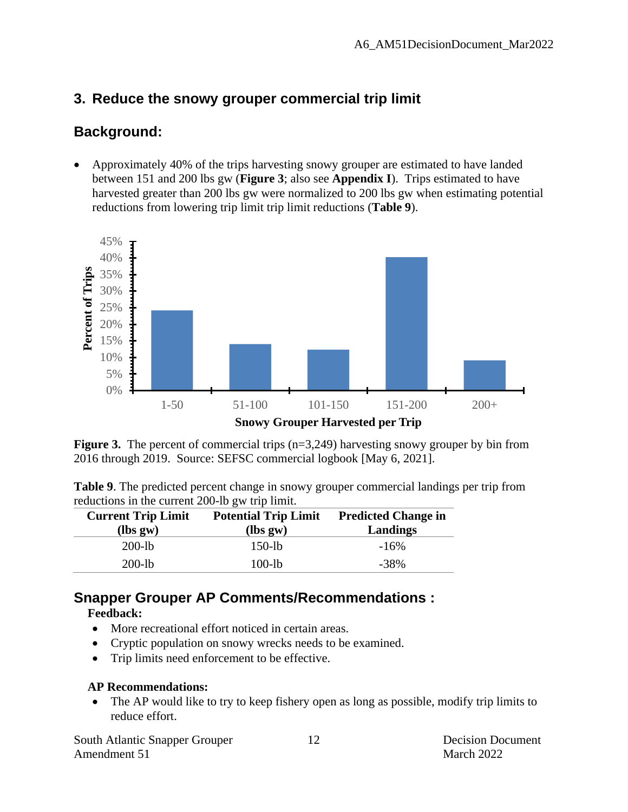### **3. Reduce the snowy grouper commercial trip limit**

### **Background:**

• Approximately 40% of the trips harvesting snowy grouper are estimated to have landed between 151 and 200 lbs gw (**Figure 3**; also see **Appendix I**). Trips estimated to have harvested greater than 200 lbs gw were normalized to 200 lbs gw when estimating potential reductions from lowering trip limit trip limit reductions (**Table 9**).



**Figure 3.** The percent of commercial trips (n=3,249) harvesting snowy grouper by bin from 2016 through 2019. Source: SEFSC commercial logbook [May 6, 2021].

| <b>Table 9.</b> The predicted percent change in snowy grouper commercial landings per trip from |  |
|-------------------------------------------------------------------------------------------------|--|
| reductions in the current 200-lb gw trip limit.                                                 |  |

| <b>Current Trip Limit</b><br>$lbs gw$ | <b>Potential Trip Limit</b><br>$lbs gw$ | <b>Predicted Change in</b><br>Landings |
|---------------------------------------|-----------------------------------------|----------------------------------------|
| $200 - lb$                            | $150$ -lb                               | $-16\%$                                |
| $200 - lb$                            | 100-lb                                  | $-38\%$                                |

#### **Snapper Grouper AP Comments/Recommendations :**

#### **Feedback:**

- More recreational effort noticed in certain areas.
- Cryptic population on snowy wrecks needs to be examined.
- Trip limits need enforcement to be effective.

#### **AP Recommendations:**

• The AP would like to try to keep fishery open as long as possible, modify trip limits to reduce effort.

South Atlantic Snapper Grouper 12 Decision Document Amendment 51 March 2022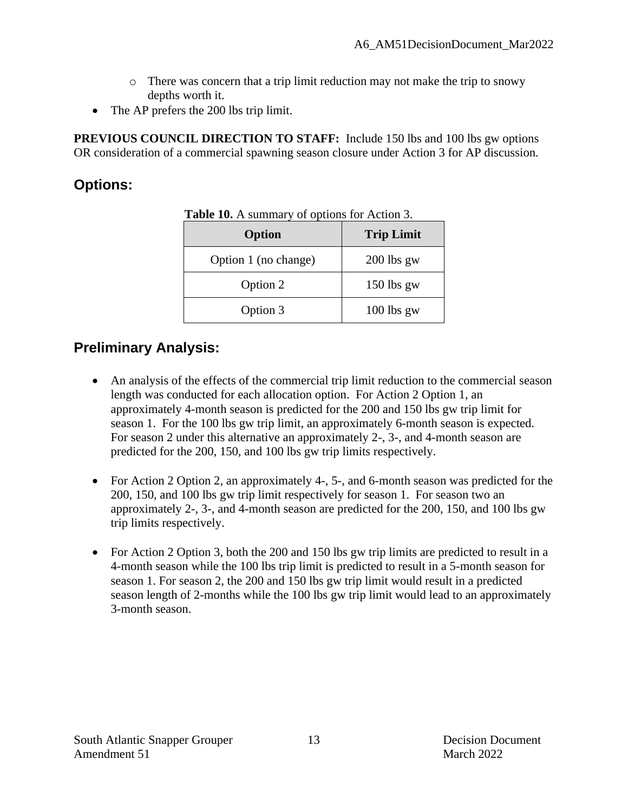- $\circ$  There was concern that a trip limit reduction may not make the trip to snowy depths worth it.
- The AP prefers the 200 lbs trip limit.

**PREVIOUS COUNCIL DIRECTION TO STAFF:** Include 150 lbs and 100 lbs gw options OR consideration of a commercial spawning season closure under Action 3 for AP discussion.

### **Options:**

| Option               | <b>Trip Limit</b> |
|----------------------|-------------------|
| Option 1 (no change) | $200$ lbs gw      |
| Option 2             | $150$ lbs gw      |
| Option 3             | $100$ lbs gw      |

**Table 10.** A summary of options for Action 3.

### **Preliminary Analysis:**

- An analysis of the effects of the commercial trip limit reduction to the commercial season length was conducted for each allocation option. For Action 2 Option 1, an approximately 4-month season is predicted for the 200 and 150 lbs gw trip limit for season 1. For the 100 lbs gw trip limit, an approximately 6-month season is expected. For season 2 under this alternative an approximately 2-, 3-, and 4-month season are predicted for the 200, 150, and 100 lbs gw trip limits respectively.
- For Action 2 Option 2, an approximately 4-, 5-, and 6-month season was predicted for the 200, 150, and 100 lbs gw trip limit respectively for season 1. For season two an approximately 2-, 3-, and 4-month season are predicted for the 200, 150, and 100 lbs gw trip limits respectively.
- For Action 2 Option 3, both the 200 and 150 lbs gw trip limits are predicted to result in a 4-month season while the 100 lbs trip limit is predicted to result in a 5-month season for season 1. For season 2, the 200 and 150 lbs gw trip limit would result in a predicted season length of 2-months while the 100 lbs gw trip limit would lead to an approximately 3-month season.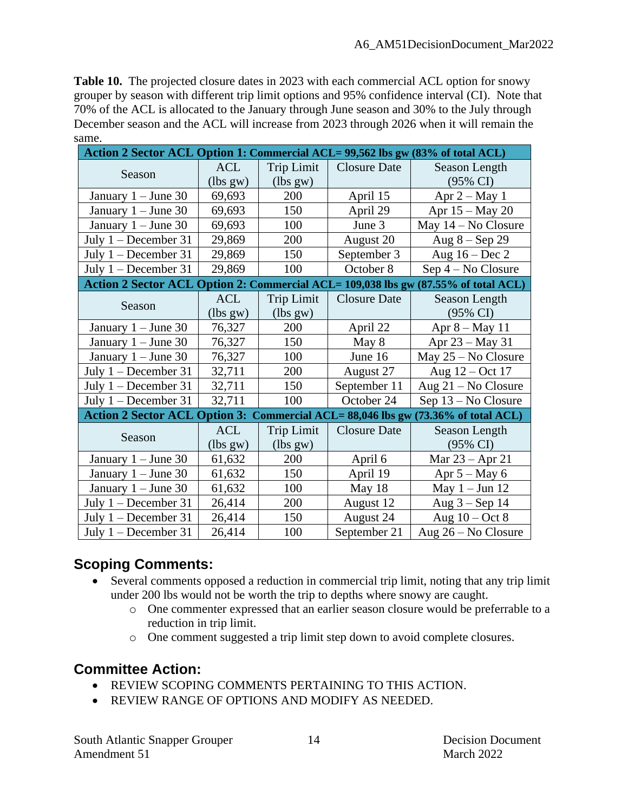**Table 10.** The projected closure dates in 2023 with each commercial ACL option for snowy grouper by season with different trip limit options and 95% confidence interval (CI). Note that 70% of the ACL is allocated to the January through June season and 30% to the July through December season and the ACL will increase from 2023 through 2026 when it will remain the same.

| Action 2 Sector ACL Option 1: Commercial ACL= 99,562 lbs gw (83% of total ACL) |            |                   |                              |                                                                                    |  |
|--------------------------------------------------------------------------------|------------|-------------------|------------------------------|------------------------------------------------------------------------------------|--|
|                                                                                | <b>ACL</b> | <b>Trip Limit</b> | <b>Closure Date</b>          | Season Length                                                                      |  |
| Season                                                                         | (lbs gw)   | (lbs gw)          |                              | $(95\% \text{ CI})$                                                                |  |
| January $1 -$ June 30                                                          | 69,693     | 200               | April 15                     | Apr $2 - May 1$                                                                    |  |
| January $1 -$ June 30                                                          | 69,693     | 150               | April 29                     | Apr 15 – May 20                                                                    |  |
| January $1 -$ June 30                                                          | 69,693     | 100               | June 3                       | May $14 - No$ Closure                                                              |  |
| July $1 -$ December 31                                                         | 29,869     | 200               | August 20                    | Aug $8 -$ Sep 29                                                                   |  |
| July $1 - December 31$                                                         | 29,869     | 150               | September 3                  | Aug $16 - Dec 2$                                                                   |  |
| July $1 - December 31$                                                         | 29,869     | 100               | October 8                    | $Sep 4 - No Closure$                                                               |  |
|                                                                                |            |                   |                              | Action 2 Sector ACL Option 2: Commercial ACL= 109,038 lbs gw (87.55% of total ACL) |  |
|                                                                                | <b>ACL</b> | <b>Trip Limit</b> | <b>Closure Date</b>          | Season Length                                                                      |  |
| Season                                                                         | (lbs gw)   | (lbs gw)          |                              | $(95\% \text{ CI})$                                                                |  |
| January $1 -$ June 30                                                          | 76,327     | 200               | April 22                     | Apr $8 - May 11$                                                                   |  |
| January $1 -$ June 30                                                          | 76,327     | 150               | May 8                        | Apr 23 – May 31                                                                    |  |
| January $1 -$ June 30                                                          | 76,327     | 100               | June 16                      | May $25 - No$ Closure                                                              |  |
| July $1 - December 31$                                                         | 32,711     | 200               | August 27                    | Aug 12 – Oct 17                                                                    |  |
| July $1 - December 31$                                                         | 32,711     | 150               | September 11                 | Aug $21 - No$ Closure                                                              |  |
| July $1 -$ December 31                                                         | 32,711     | 100               | October 24                   | Sep 13 – No Closure                                                                |  |
| <b>Action 2 Sector ACL Option 3:</b>                                           |            |                   | Commercial ACL=88,046 lbs gw | $(73.36\%$ of total ACL)                                                           |  |
| Season                                                                         | <b>ACL</b> | <b>Trip Limit</b> | <b>Closure Date</b>          | Season Length                                                                      |  |
|                                                                                | (lbs gw)   | (lbs gw)          |                              | (95% CI)                                                                           |  |
| January $1 -$ June 30                                                          | 61,632     | 200               | April 6                      | Mar $23 -$ Apr 21                                                                  |  |
| January $1 -$ June 30                                                          | 61,632     | 150               | April 19                     | Apr $5 - May 6$                                                                    |  |
| January $1 -$ June 30                                                          | 61,632     | 100               | May 18                       | May $1 -$ Jun 12                                                                   |  |
| July $1 - December 31$                                                         | 26,414     | 200               | August 12                    | Aug $3 -$ Sep 14                                                                   |  |
| July 1 - December 31                                                           | 26,414     | 150               | August 24                    | Aug $10 - Oct 8$                                                                   |  |
| July $1 - December 31$                                                         | 26,414     | 100               | September 21                 | Aug $26 - No$ Closure                                                              |  |

## **Scoping Comments:**

- Several comments opposed a reduction in commercial trip limit, noting that any trip limit under 200 lbs would not be worth the trip to depths where snowy are caught.
	- o One commenter expressed that an earlier season closure would be preferrable to a reduction in trip limit.
	- o One comment suggested a trip limit step down to avoid complete closures.

### **Committee Action:**

- REVIEW SCOPING COMMENTS PERTAINING TO THIS ACTION.
- REVIEW RANGE OF OPTIONS AND MODIFY AS NEEDED.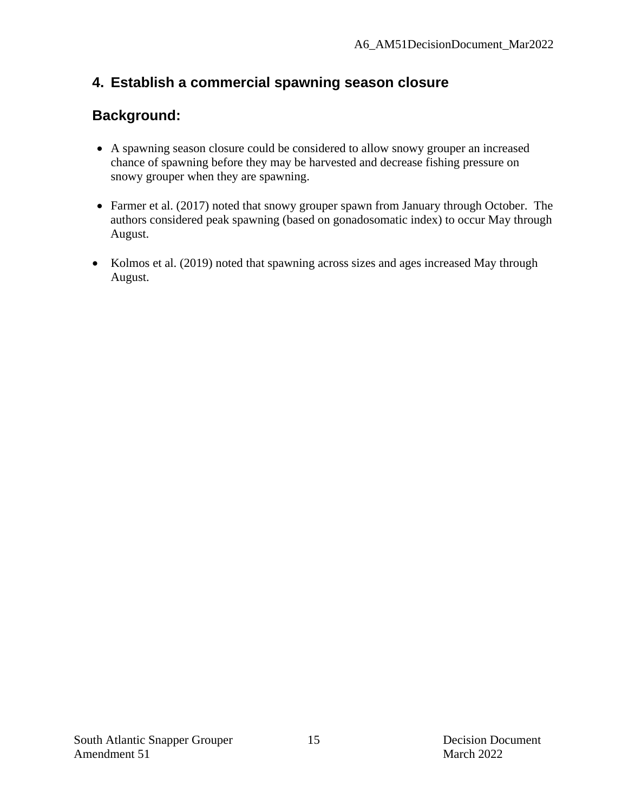# **4. Establish a commercial spawning season closure**

# **Background:**

- A spawning season closure could be considered to allow snowy grouper an increased chance of spawning before they may be harvested and decrease fishing pressure on snowy grouper when they are spawning.
- Farmer et al. (2017) noted that snowy grouper spawn from January through October. The authors considered peak spawning (based on gonadosomatic index) to occur May through August.
- Kolmos et al. (2019) noted that spawning across sizes and ages increased May through August.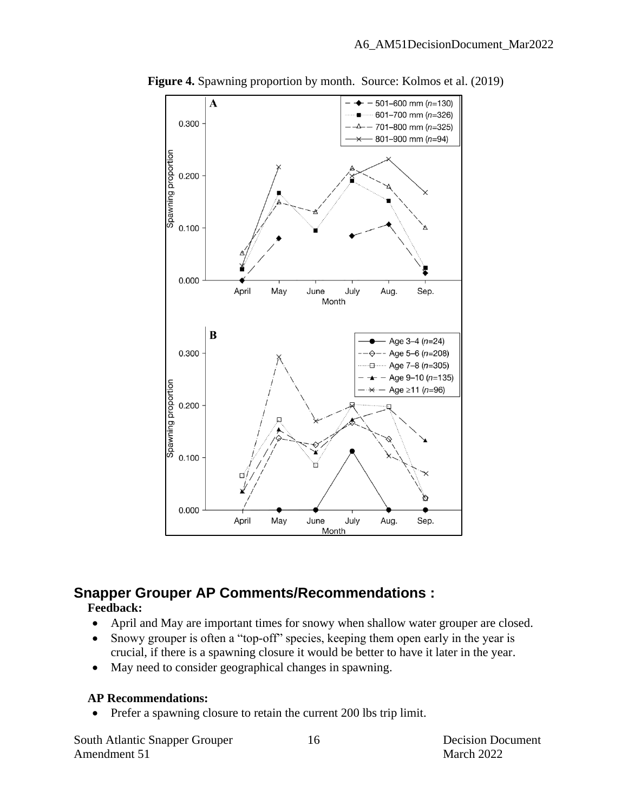

**Figure 4.** Spawning proportion by month. Source: Kolmos et al. (2019)

## **Snapper Grouper AP Comments/Recommendations :**

#### **Feedback:**

- April and May are important times for snowy when shallow water grouper are closed.
- Snowy grouper is often a "top-off" species, keeping them open early in the year is crucial, if there is a spawning closure it would be better to have it later in the year.
- May need to consider geographical changes in spawning.

#### **AP Recommendations:**

• Prefer a spawning closure to retain the current 200 lbs trip limit.

South Atlantic Snapper Grouper 16 16 Decision Document Amendment 51 March 2022

16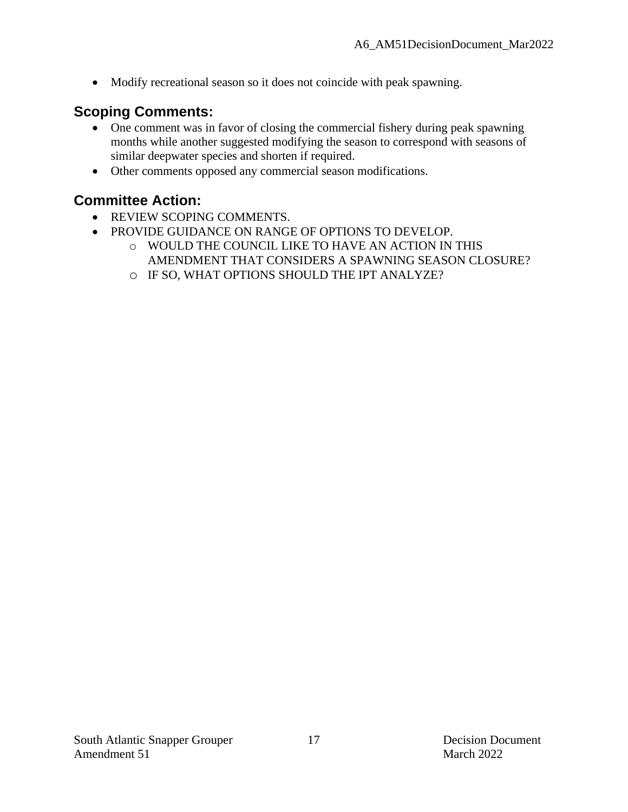• Modify recreational season so it does not coincide with peak spawning.

### **Scoping Comments:**

- One comment was in favor of closing the commercial fishery during peak spawning months while another suggested modifying the season to correspond with seasons of similar deepwater species and shorten if required.
- Other comments opposed any commercial season modifications.

#### **Committee Action:**

- REVIEW SCOPING COMMENTS.
- PROVIDE GUIDANCE ON RANGE OF OPTIONS TO DEVELOP.
	- o WOULD THE COUNCIL LIKE TO HAVE AN ACTION IN THIS AMENDMENT THAT CONSIDERS A SPAWNING SEASON CLOSURE?
	- o IF SO, WHAT OPTIONS SHOULD THE IPT ANALYZE?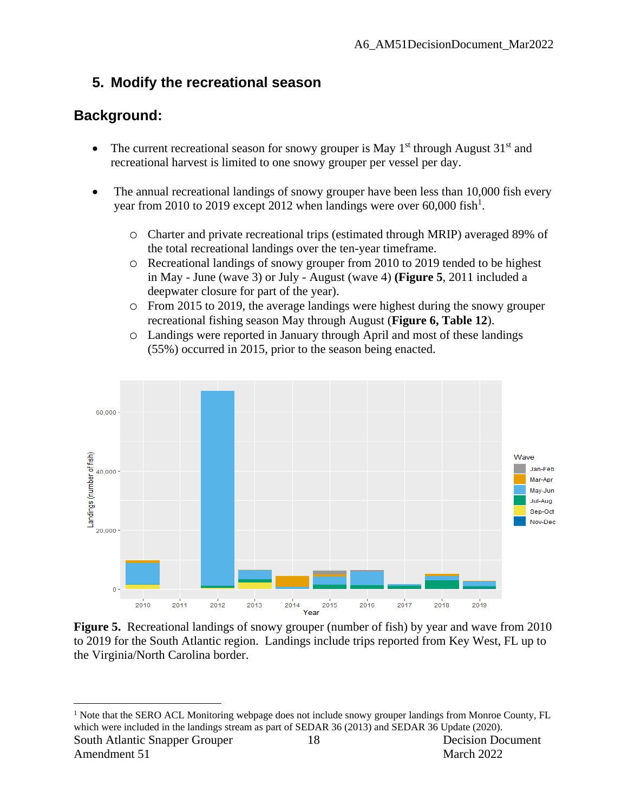# **5. Modify the recreational season**

# **Background:**

- The current recreational season for snowy grouper is May  $1<sup>st</sup>$  through August  $31<sup>st</sup>$  and recreational harvest is limited to one snowy grouper per vessel per day.
- The annual recreational landings of snowy grouper have been less than 10,000 fish every year from 2010 to 2019 except 2012 when landings were over 60,000 fish<sup>1</sup>.
	- o Charter and private recreational trips (estimated through MRIP) averaged 89% of the total recreational landings over the ten-year timeframe.
	- o Recreational landings of snowy grouper from 2010 to 2019 tended to be highest in May - June (wave 3) or July - August (wave 4) **(Figure 5**, 2011 included a deepwater closure for part of the year).
	- o From 2015 to 2019, the average landings were highest during the snowy grouper recreational fishing season May through August (**Figure 6, Table 12**).
	- o Landings were reported in January through April and most of these landings (55%) occurred in 2015, prior to the season being enacted.



**Figure 5.** Recreational landings of snowy grouper (number of fish) by year and wave from 2010 to 2019 for the South Atlantic region. Landings include trips reported from Key West, FL up to the Virginia/North Carolina border.

South Atlantic Snapper Grouper 18 18 Decision Document 18 <sup>1</sup> Note that the SERO ACL Monitoring webpage does not include snowy grouper landings from Monroe County, FL which were included in the landings stream as part of SEDAR 36 (2013) and SEDAR 36 Update (2020).

Amendment 51 March 2022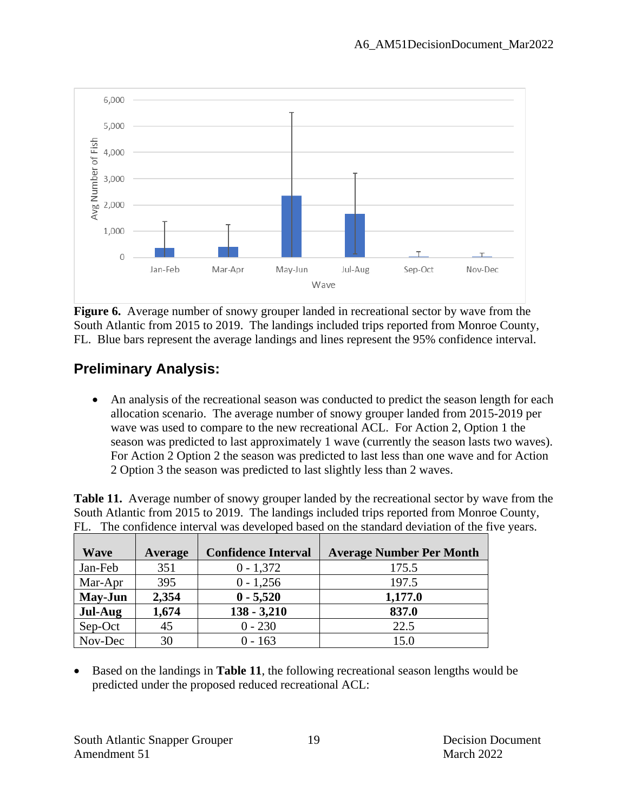

**Figure 6.** Average number of snowy grouper landed in recreational sector by wave from the South Atlantic from 2015 to 2019. The landings included trips reported from Monroe County, FL. Blue bars represent the average landings and lines represent the 95% confidence interval.

# **Preliminary Analysis:**

• An analysis of the recreational season was conducted to predict the season length for each allocation scenario. The average number of snowy grouper landed from 2015-2019 per wave was used to compare to the new recreational ACL. For Action 2, Option 1 the season was predicted to last approximately 1 wave (currently the season lasts two waves). For Action 2 Option 2 the season was predicted to last less than one wave and for Action 2 Option 3 the season was predicted to last slightly less than 2 waves.

|  |  | <b>Table 11.</b> Average number of snowy grouper landed by the recreational sector by wave from the |  |  |  |
|--|--|-----------------------------------------------------------------------------------------------------|--|--|--|
|  |  | South Atlantic from 2015 to 2019. The landings included trips reported from Monroe County,          |  |  |  |
|  |  | FL. The confidence interval was developed based on the standard deviation of the five years.        |  |  |  |
|  |  |                                                                                                     |  |  |  |

| <b>Wave</b>    | <b>Average</b> | <b>Confidence Interval</b> | <b>Average Number Per Month</b> |
|----------------|----------------|----------------------------|---------------------------------|
| Jan-Feb        | 351            | $0 - 1,372$                | 175.5                           |
| Mar-Apr        | 395            | $0 - 1,256$                | 197.5                           |
| <b>May-Jun</b> | 2,354          | $0 - 5,520$                | 1,177.0                         |
| Jul-Aug        | 1,674          | $138 - 3,210$              | 837.0                           |
| Sep-Oct        | 45             | $0 - 230$                  | 22.5                            |
| Nov-Dec        | 30             | $0 - 163$                  | 15.0                            |

• Based on the landings in **Table 11**, the following recreational season lengths would be predicted under the proposed reduced recreational ACL: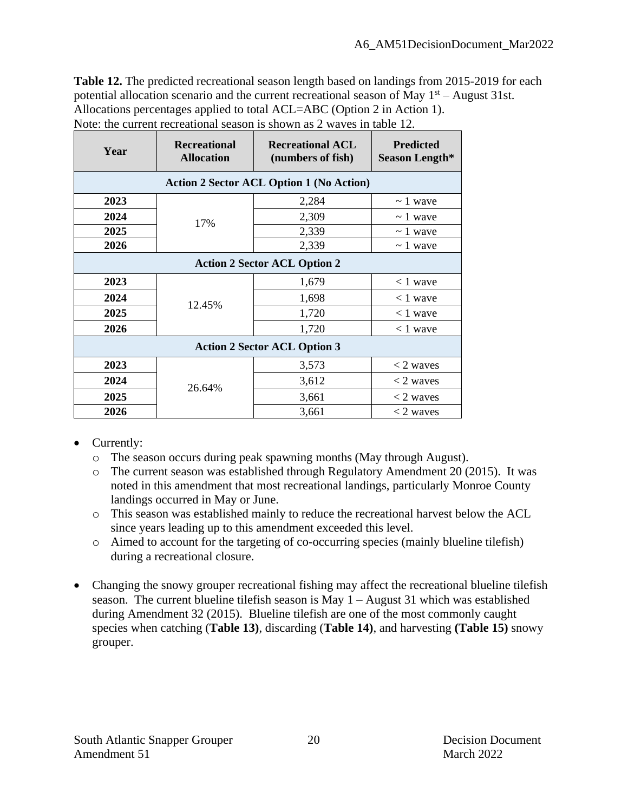**Table 12.** The predicted recreational season length based on landings from 2015-2019 for each potential allocation scenario and the current recreational season of May  $1<sup>st</sup>$  – August 31st. Allocations percentages applied to total ACL=ABC (Option 2 in Action 1). Note: the current recreational season is shown as 2 waves in table 12.

| Year                                | <b>Recreational</b><br><b>Allocation</b>        | <b>Recreational ACL</b><br>(numbers of fish) | <b>Predicted</b><br>Season Length* |  |  |  |
|-------------------------------------|-------------------------------------------------|----------------------------------------------|------------------------------------|--|--|--|
|                                     | <b>Action 2 Sector ACL Option 1 (No Action)</b> |                                              |                                    |  |  |  |
| 2023                                |                                                 | 2,284                                        | $\sim$ 1 wave                      |  |  |  |
| 2024                                | 17%                                             | 2,309                                        | $\sim$ 1 wave                      |  |  |  |
| 2025                                |                                                 | 2,339                                        | $\sim$ 1 wave                      |  |  |  |
| 2026                                |                                                 | 2,339                                        | $\sim$ 1 wave                      |  |  |  |
| <b>Action 2 Sector ACL Option 2</b> |                                                 |                                              |                                    |  |  |  |
| 2023                                |                                                 | 1,679                                        | $< 1$ wave                         |  |  |  |
| 2024                                | 12.45%                                          | 1,698                                        | $< 1$ wave                         |  |  |  |
| 2025                                |                                                 | 1,720                                        | $< 1$ wave                         |  |  |  |
| 2026                                |                                                 | 1,720                                        | $< 1$ wave                         |  |  |  |
| <b>Action 2 Sector ACL Option 3</b> |                                                 |                                              |                                    |  |  |  |
| 2023                                |                                                 | 3,573                                        | $<$ 2 waves                        |  |  |  |
| 2024                                | 26.64%                                          | 3,612                                        | $<$ 2 waves                        |  |  |  |
| 2025                                |                                                 | 3,661                                        | $<$ 2 waves                        |  |  |  |
| 2026                                |                                                 | 3,661                                        | $<$ 2 waves                        |  |  |  |

- Currently:
	- o The season occurs during peak spawning months (May through August).
	- o The current season was established through Regulatory Amendment 20 (2015). It was noted in this amendment that most recreational landings, particularly Monroe County landings occurred in May or June.
	- o This season was established mainly to reduce the recreational harvest below the ACL since years leading up to this amendment exceeded this level.
	- o Aimed to account for the targeting of co-occurring species (mainly blueline tilefish) during a recreational closure.
- Changing the snowy grouper recreational fishing may affect the recreational blueline tilefish season. The current blueline tilefish season is May 1 – August 31 which was established during Amendment 32 (2015). Blueline tilefish are one of the most commonly caught species when catching (**Table 13)**, discarding (**Table 14)**, and harvesting **(Table 15)** snowy grouper.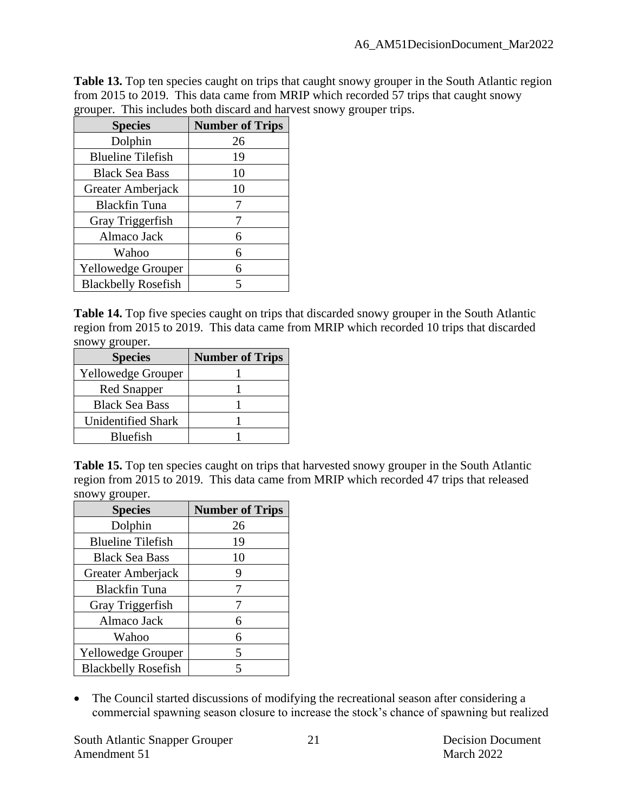Table 13. Top ten species caught on trips that caught snowy grouper in the South Atlantic region from 2015 to 2019. This data came from MRIP which recorded 57 trips that caught snowy grouper. This includes both discard and harvest snowy grouper trips.

| <b>Species</b>             | <b>Number of Trips</b> |
|----------------------------|------------------------|
| Dolphin                    | 26                     |
| <b>Blueline Tilefish</b>   | 19                     |
| <b>Black Sea Bass</b>      | 10                     |
| Greater Amberjack          | 10                     |
| <b>Blackfin Tuna</b>       |                        |
| Gray Triggerfish           |                        |
| Almaco Jack                | 6                      |
| Wahoo                      | 6                      |
| <b>Yellowedge Grouper</b>  | 6                      |
| <b>Blackbelly Rosefish</b> | 5                      |

**Table 14.** Top five species caught on trips that discarded snowy grouper in the South Atlantic region from 2015 to 2019. This data came from MRIP which recorded 10 trips that discarded snowy grouper.

| <b>Species</b>            | <b>Number of Trips</b> |
|---------------------------|------------------------|
| <b>Yellowedge Grouper</b> |                        |
| <b>Red Snapper</b>        |                        |
| <b>Black Sea Bass</b>     |                        |
| <b>Unidentified Shark</b> |                        |
| Bluefish                  |                        |

Table 15. Top ten species caught on trips that harvested snowy grouper in the South Atlantic region from 2015 to 2019. This data came from MRIP which recorded 47 trips that released snowy grouper.

| <b>Species</b>             | <b>Number of Trips</b> |
|----------------------------|------------------------|
| Dolphin                    | 26                     |
| <b>Blueline Tilefish</b>   | 19                     |
| <b>Black Sea Bass</b>      | 10                     |
| Greater Amberjack          | 9                      |
| Blackfin Tuna              | 7                      |
| Gray Triggerfish           |                        |
| Almaco Jack                | 6                      |
| Wahoo                      | 6                      |
| <b>Yellowedge Grouper</b>  | 5                      |
| <b>Blackbelly Rosefish</b> | 5                      |

• The Council started discussions of modifying the recreational season after considering a commercial spawning season closure to increase the stock's chance of spawning but realized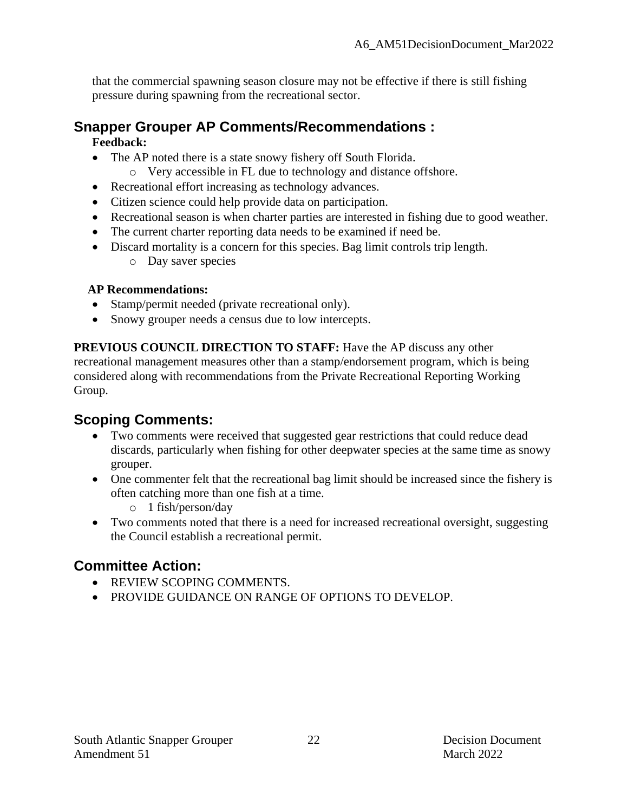that the commercial spawning season closure may not be effective if there is still fishing pressure during spawning from the recreational sector.

# **Snapper Grouper AP Comments/Recommendations :**

#### **Feedback:**

- The AP noted there is a state snowy fishery off South Florida.
	- o Very accessible in FL due to technology and distance offshore.
- Recreational effort increasing as technology advances.
- Citizen science could help provide data on participation.
- Recreational season is when charter parties are interested in fishing due to good weather.
- The current charter reporting data needs to be examined if need be.
- Discard mortality is a concern for this species. Bag limit controls trip length.
	- o Day saver species

#### **AP Recommendations:**

- Stamp/permit needed (private recreational only).
- Snowy grouper needs a census due to low intercepts.

**PREVIOUS COUNCIL DIRECTION TO STAFF:** Have the AP discuss any other recreational management measures other than a stamp/endorsement program, which is being considered along with recommendations from the Private Recreational Reporting Working Group.

# **Scoping Comments:**

- Two comments were received that suggested gear restrictions that could reduce dead discards, particularly when fishing for other deepwater species at the same time as snowy grouper.
- One commenter felt that the recreational bag limit should be increased since the fishery is often catching more than one fish at a time.
	- o 1 fish/person/day
- Two comments noted that there is a need for increased recreational oversight, suggesting the Council establish a recreational permit.

# **Committee Action:**

- REVIEW SCOPING COMMENTS.
- PROVIDE GUIDANCE ON RANGE OF OPTIONS TO DEVELOP.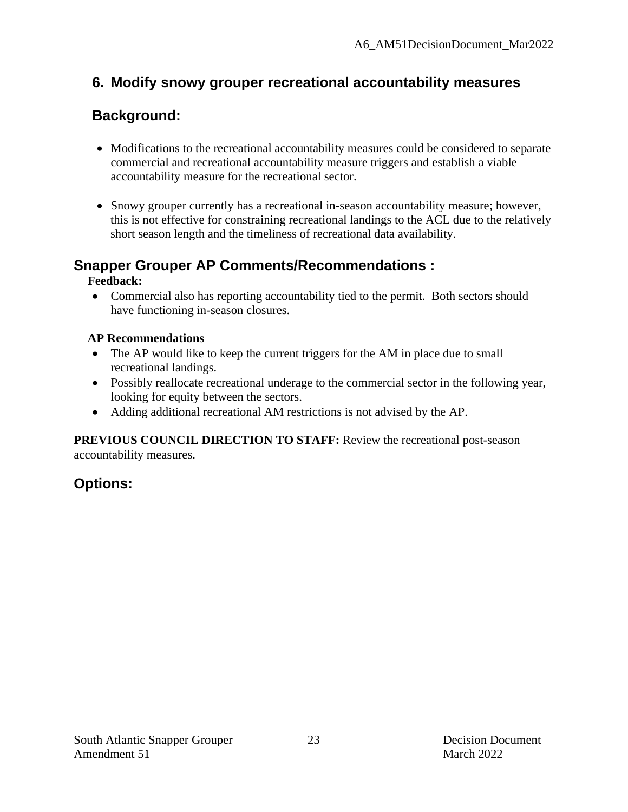## **6. Modify snowy grouper recreational accountability measures**

# **Background:**

- Modifications to the recreational accountability measures could be considered to separate commercial and recreational accountability measure triggers and establish a viable accountability measure for the recreational sector.
- Snowy grouper currently has a recreational in-season accountability measure; however, this is not effective for constraining recreational landings to the ACL due to the relatively short season length and the timeliness of recreational data availability.

## **Snapper Grouper AP Comments/Recommendations :**

#### **Feedback:**

• Commercial also has reporting accountability tied to the permit. Both sectors should have functioning in-season closures.

#### **AP Recommendations**

- The AP would like to keep the current triggers for the AM in place due to small recreational landings.
- Possibly reallocate recreational underage to the commercial sector in the following year, looking for equity between the sectors.
- Adding additional recreational AM restrictions is not advised by the AP.

**PREVIOUS COUNCIL DIRECTION TO STAFF:** Review the recreational post-season accountability measures.

## **Options:**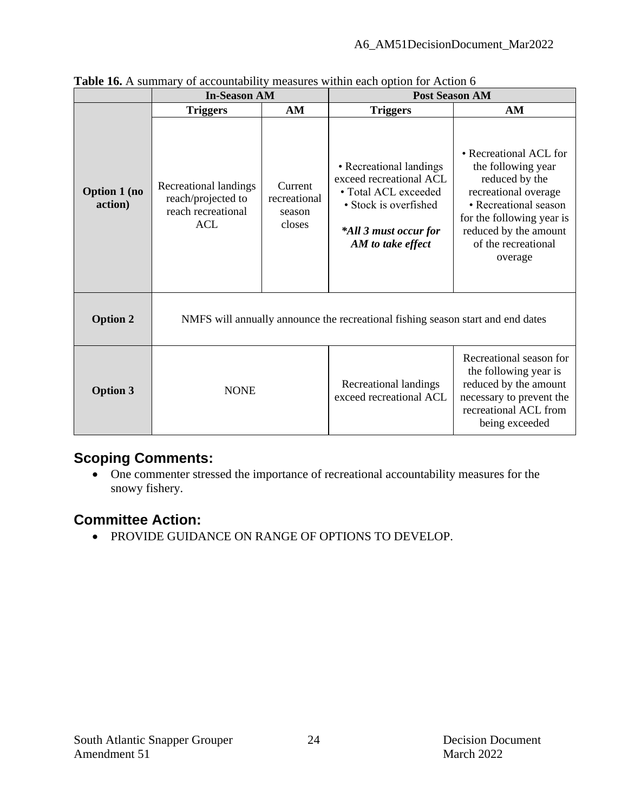|                                | <b>In-Season AM</b>                                                             |                                             | <b>Post Season AM</b>                                                                                                                             |                                                                                                                                                                                                         |  |
|--------------------------------|---------------------------------------------------------------------------------|---------------------------------------------|---------------------------------------------------------------------------------------------------------------------------------------------------|---------------------------------------------------------------------------------------------------------------------------------------------------------------------------------------------------------|--|
|                                | <b>Triggers</b>                                                                 | AM                                          | <b>Triggers</b>                                                                                                                                   | AM                                                                                                                                                                                                      |  |
| <b>Option 1 (no</b><br>action) | Recreational landings<br>reach/projected to<br>reach recreational<br><b>ACL</b> | Current<br>recreational<br>season<br>closes | • Recreational landings<br>exceed recreational ACL<br>• Total ACL exceeded<br>• Stock is overfished<br>*All 3 must occur for<br>AM to take effect | • Recreational ACL for<br>the following year<br>reduced by the<br>recreational overage<br>• Recreational season<br>for the following year is<br>reduced by the amount<br>of the recreational<br>overage |  |
| <b>Option 2</b>                | NMFS will annually announce the recreational fishing season start and end dates |                                             |                                                                                                                                                   |                                                                                                                                                                                                         |  |
| <b>Option 3</b>                | <b>NONE</b>                                                                     |                                             | Recreational landings<br>exceed recreational ACL                                                                                                  | Recreational season for<br>the following year is<br>reduced by the amount<br>necessary to prevent the<br>recreational ACL from<br>being exceeded                                                        |  |

**Table 16.** A summary of accountability measures within each option for Action 6

## **Scoping Comments:**

• One commenter stressed the importance of recreational accountability measures for the snowy fishery.

## **Committee Action:**

• PROVIDE GUIDANCE ON RANGE OF OPTIONS TO DEVELOP.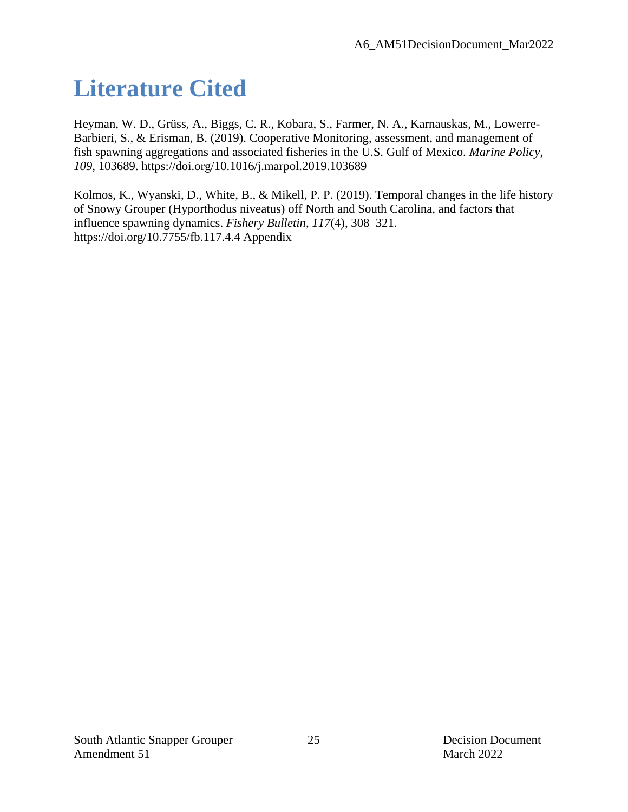# **Literature Cited**

Heyman, W. D., Grüss, A., Biggs, C. R., Kobara, S., Farmer, N. A., Karnauskas, M., Lowerre-Barbieri, S., & Erisman, B. (2019). Cooperative Monitoring, assessment, and management of fish spawning aggregations and associated fisheries in the U.S. Gulf of Mexico. *Marine Policy*, *109*, 103689. https://doi.org/10.1016/j.marpol.2019.103689

Kolmos, K., Wyanski, D., White, B., & Mikell, P. P. (2019). Temporal changes in the life history of Snowy Grouper (Hyporthodus niveatus) off North and South Carolina, and factors that influence spawning dynamics. *Fishery Bulletin*, *117*(4), 308–321. https://doi.org/10.7755/fb.117.4.4 Appendix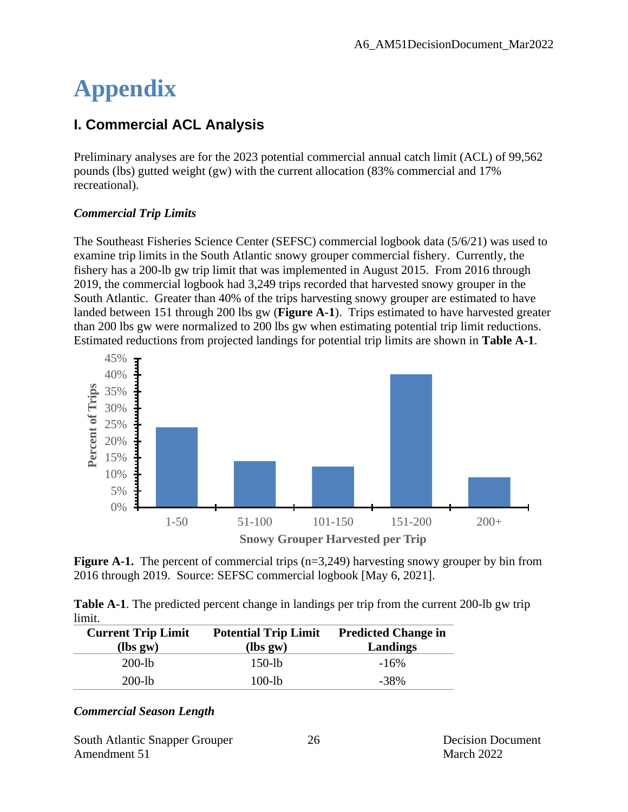# **Appendix**

## **I. Commercial ACL Analysis**

Preliminary analyses are for the 2023 potential commercial annual catch limit (ACL) of 99,562 pounds (lbs) gutted weight (gw) with the current allocation (83% commercial and 17% recreational).

#### *Commercial Trip Limits*

The Southeast Fisheries Science Center (SEFSC) commercial logbook data (5/6/21) was used to examine trip limits in the South Atlantic snowy grouper commercial fishery. Currently, the fishery has a 200-lb gw trip limit that was implemented in August 2015. From 2016 through 2019, the commercial logbook had 3,249 trips recorded that harvested snowy grouper in the South Atlantic. Greater than 40% of the trips harvesting snowy grouper are estimated to have landed between 151 through 200 lbs gw (**Figure A-1**). Trips estimated to have harvested greater than 200 lbs gw were normalized to 200 lbs gw when estimating potential trip limit reductions. Estimated reductions from projected landings for potential trip limits are shown in **Table A-1**.



**Figure A-1.** The percent of commercial trips (n=3,249) harvesting snowy grouper by bin from 2016 through 2019. Source: SEFSC commercial logbook [May 6, 2021].

|        | <b>Table A-1.</b> The predicted percent change in landings per trip from the current 200-lb gw trip |  |  |
|--------|-----------------------------------------------------------------------------------------------------|--|--|
| limit. |                                                                                                     |  |  |

| <b>Current Trip Limit</b> | <b>Potential Trip Limit</b> | <b>Predicted Change in</b> |
|---------------------------|-----------------------------|----------------------------|
| $lbs gw$                  | $lbs gw$                    | Landings                   |
| $200$ -lb                 | $150$ -lb                   | $-16%$                     |
| $200-1b$                  | 100-lb                      | $-38\%$                    |

#### *Commercial Season Length*

South Atlantic Snapper Grouper 26 Decision Document Amendment 51 March 2022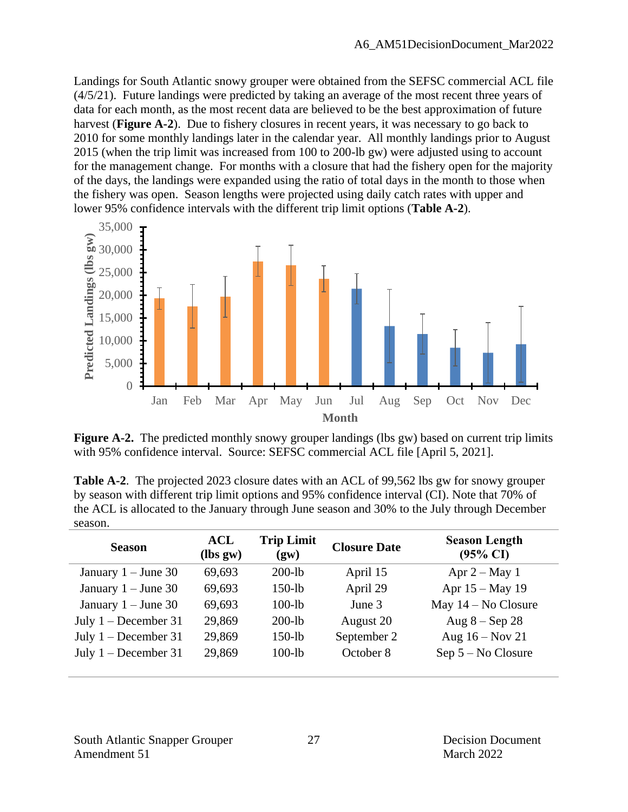Landings for South Atlantic snowy grouper were obtained from the SEFSC commercial ACL file (4/5/21). Future landings were predicted by taking an average of the most recent three years of data for each month, as the most recent data are believed to be the best approximation of future harvest (**Figure A-2**). Due to fishery closures in recent years, it was necessary to go back to 2010 for some monthly landings later in the calendar year. All monthly landings prior to August 2015 (when the trip limit was increased from 100 to 200-lb gw) were adjusted using to account for the management change. For months with a closure that had the fishery open for the majority of the days, the landings were expanded using the ratio of total days in the month to those when the fishery was open. Season lengths were projected using daily catch rates with upper and lower 95% confidence intervals with the different trip limit options (**Table A-2**).



**Figure A-2.** The predicted monthly snowy grouper landings (lbs gw) based on current trip limits with 95% confidence interval. Source: SEFSC commercial ACL file [April 5, 2021].

**Table A-2**. The projected 2023 closure dates with an ACL of 99,562 lbs gw for snowy grouper by season with different trip limit options and 95% confidence interval (CI). Note that 70% of the ACL is allocated to the January through June season and 30% to the July through December season.

| <b>Season</b>          | ACL<br>$lbs gw$ | <b>Trip Limit</b><br>(gw) | <b>Closure Date</b> | <b>Season Length</b><br>$(95\% \text{ CI})$ |
|------------------------|-----------------|---------------------------|---------------------|---------------------------------------------|
| January $1 -$ June 30  | 69.693          | $200$ -lb                 | April 15            | Apr $2 - May 1$                             |
| January $1 -$ June 30  | 69,693          | $150$ -lb                 | April 29            | Apr 15 - May 19                             |
| January $1 -$ June 30  | 69,693          | $100-lb$                  | June 3              | May $14 - No$ Closure                       |
| July $1 - December 31$ | 29,869          | $200$ -lb                 | August 20           | Aug $8 -$ Sep 28                            |
| July $1 - December 31$ | 29,869          | $150-lb$                  | September 2         | Aug $16 - Nov 21$                           |
| July $1 - December 31$ | 29,869          | $100-lb$                  | October 8           | $Sep 5 - No Closure$                        |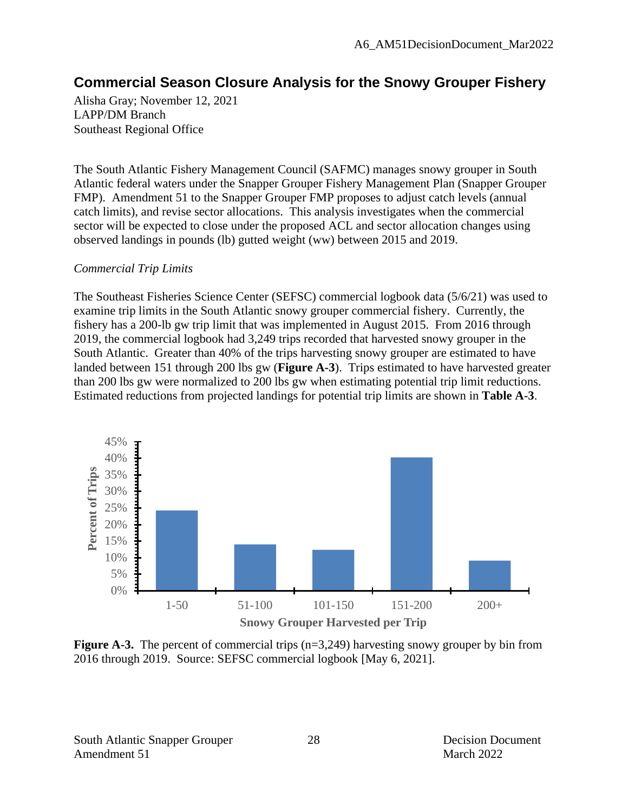## **Commercial Season Closure Analysis for the Snowy Grouper Fishery**

Alisha Gray; November 12, 2021 LAPP/DM Branch Southeast Regional Office

The South Atlantic Fishery Management Council (SAFMC) manages snowy grouper in South Atlantic federal waters under the Snapper Grouper Fishery Management Plan (Snapper Grouper FMP). Amendment 51 to the Snapper Grouper FMP proposes to adjust catch levels (annual catch limits), and revise sector allocations. This analysis investigates when the commercial sector will be expected to close under the proposed ACL and sector allocation changes using observed landings in pounds (lb) gutted weight (ww) between 2015 and 2019.

#### *Commercial Trip Limits*

The Southeast Fisheries Science Center (SEFSC) commercial logbook data (5/6/21) was used to examine trip limits in the South Atlantic snowy grouper commercial fishery. Currently, the fishery has a 200-lb gw trip limit that was implemented in August 2015. From 2016 through 2019, the commercial logbook had 3,249 trips recorded that harvested snowy grouper in the South Atlantic. Greater than 40% of the trips harvesting snowy grouper are estimated to have landed between 151 through 200 lbs gw (**Figure A-3**). Trips estimated to have harvested greater than 200 lbs gw were normalized to 200 lbs gw when estimating potential trip limit reductions. Estimated reductions from projected landings for potential trip limits are shown in **Table A-3**.



**Figure A-3.** The percent of commercial trips (n=3,249) harvesting snowy grouper by bin from 2016 through 2019. Source: SEFSC commercial logbook [May 6, 2021].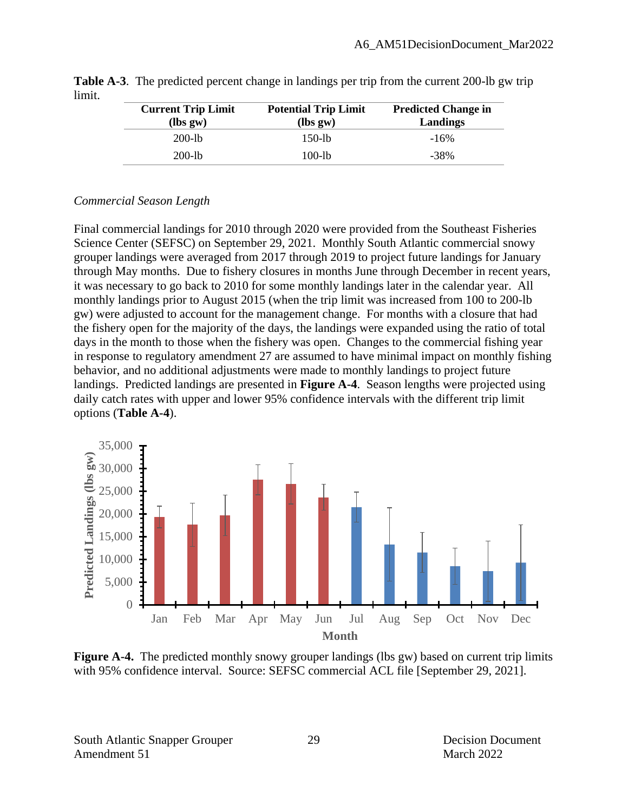| <b>Current Trip Limit</b><br>$lbs gw$ | <b>Potential Trip Limit</b><br>$lbs gw$ | <b>Predicted Change in</b><br>Landings |
|---------------------------------------|-----------------------------------------|----------------------------------------|
| $200-1b$                              | $150-1b$                                | $-16%$                                 |
| $200-1b$                              | $100-1b$                                | -38%                                   |

**Table A-3**. The predicted percent change in landings per trip from the current 200-lb gw trip limit.

#### *Commercial Season Length*

Final commercial landings for 2010 through 2020 were provided from the Southeast Fisheries Science Center (SEFSC) on September 29, 2021. Monthly South Atlantic commercial snowy grouper landings were averaged from 2017 through 2019 to project future landings for January through May months. Due to fishery closures in months June through December in recent years, it was necessary to go back to 2010 for some monthly landings later in the calendar year. All monthly landings prior to August 2015 (when the trip limit was increased from 100 to 200-lb gw) were adjusted to account for the management change. For months with a closure that had the fishery open for the majority of the days, the landings were expanded using the ratio of total days in the month to those when the fishery was open. Changes to the commercial fishing year in response to regulatory amendment 27 are assumed to have minimal impact on monthly fishing behavior, and no additional adjustments were made to monthly landings to project future landings. Predicted landings are presented in **Figure A-4**. Season lengths were projected using daily catch rates with upper and lower 95% confidence intervals with the different trip limit options (**Table A-4**).



**Figure A-4.** The predicted monthly snowy grouper landings (lbs gw) based on current trip limits with 95% confidence interval. Source: SEFSC commercial ACL file [September 29, 2021].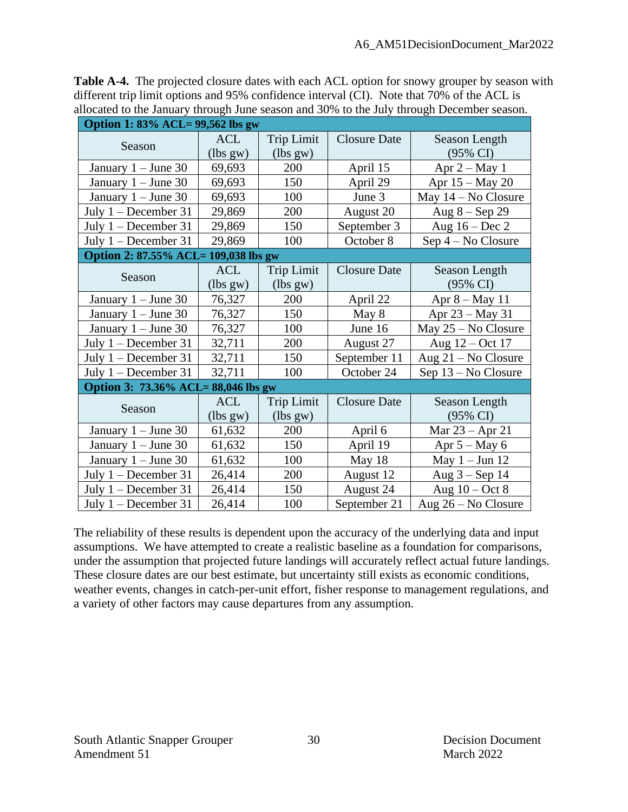| <b>Table A-4.</b> The projected closure dates with each ACL option for snowy grouper by season with |
|-----------------------------------------------------------------------------------------------------|
| different trip limit options and 95% confidence interval (CI). Note that 70% of the ACL is          |
| allocated to the January through June season and 30% to the July through December season.           |

| Option 1: 83% ACL= 99,562 lbs gw     |            |                   |                     |                       |  |
|--------------------------------------|------------|-------------------|---------------------|-----------------------|--|
| Season                               | <b>ACL</b> | <b>Trip Limit</b> | <b>Closure Date</b> | Season Length         |  |
|                                      | (lbs gw)   | (lbs gw)          |                     | $(95\% \text{ CI})$   |  |
| January $1 -$ June 30                | 69,693     | 200               | April 15            | Apr $2 - May 1$       |  |
| January $1 -$ June 30                | 69,693     | 150               | April 29            | Apr 15 – May 20       |  |
| January $1 -$ June 30                | 69,693     | 100               | June 3              | May $14 - No$ Closure |  |
| July $1 - December 31$               | 29,869     | 200               | August 20           | Aug $8 -$ Sep 29      |  |
| July $1 - December 31$               | 29,869     | 150               | September 3         | Aug $16 - Dec 2$      |  |
| July $1 - December 31$               | 29,869     | 100               | October 8           | Sep 4 – No Closure    |  |
| Option 2: 87.55% ACL= 109,038 lbs gw |            |                   |                     |                       |  |
| Season                               | <b>ACL</b> | <b>Trip Limit</b> | <b>Closure Date</b> | Season Length         |  |
|                                      | (lbs gw)   | (lbs gw)          |                     | $(95\% \text{ CI})$   |  |
| January $1 -$ June 30                | 76,327     | 200               | April 22            | Apr 8 - May 11        |  |
| January $1 -$ June 30                | 76,327     | 150               | May 8               | Apr $23 - May 31$     |  |
| January $1 -$ June 30                | 76,327     | 100               | June 16             | May $25 - No$ Closure |  |
| July $1 - December 31$               | 32,711     | 200               | August 27           | Aug 12 – Oct 17       |  |
| July $1 -$ December 31               | 32,711     | 150               | September 11        | Aug $21 - No$ Closure |  |
| July 1 - December 31                 | 32,711     | 100               | October 24          | Sep 13 – No Closure   |  |
| Option 3: 73.36% ACL= 88,046 lbs gw  |            |                   |                     |                       |  |
| Season                               | <b>ACL</b> | <b>Trip Limit</b> | <b>Closure Date</b> | Season Length         |  |
|                                      | (lbs gw)   | (lbs gw)          |                     | $(95\% \text{ CI})$   |  |
| January $1 -$ June 30                | 61,632     | 200               | April 6             | Mar $23 -$ Apr 21     |  |
| January $1 -$ June 30                | 61,632     | 150               | April 19            | Apr $5 - May 6$       |  |
| January $1 -$ June 30                | 61,632     | 100               | May 18              | May $1 -$ Jun 12      |  |
| July $1 - December 31$               | 26,414     | 200               | August 12           | Aug $3 -$ Sep 14      |  |
| July 1 - December 31                 | 26,414     | 150               | August 24           | Aug $10 - Oct 8$      |  |
| July $1 - December 31$               | 26,414     | 100               | September 21        | Aug 26 – No Closure   |  |

The reliability of these results is dependent upon the accuracy of the underlying data and input assumptions. We have attempted to create a realistic baseline as a foundation for comparisons, under the assumption that projected future landings will accurately reflect actual future landings. These closure dates are our best estimate, but uncertainty still exists as economic conditions, weather events, changes in catch-per-unit effort, fisher response to management regulations, and a variety of other factors may cause departures from any assumption.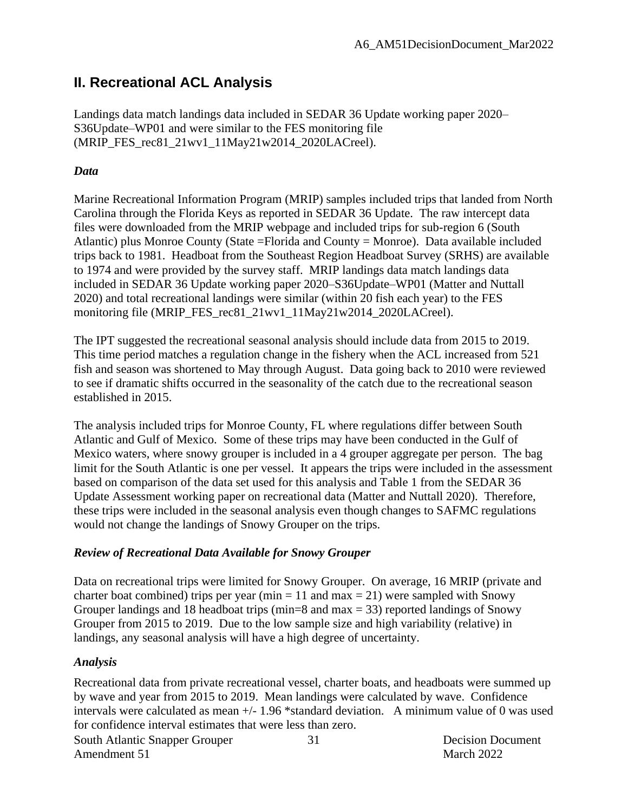### **II. Recreational ACL Analysis**

Landings data match landings data included in SEDAR 36 Update working paper 2020– S36Update–WP01 and were similar to the FES monitoring file (MRIP\_FES\_rec81\_21wv1\_11May21w2014\_2020LACreel).

#### *Data*

Marine Recreational Information Program (MRIP) samples included trips that landed from North Carolina through the Florida Keys as reported in SEDAR 36 Update. The raw intercept data files were downloaded from the MRIP webpage and included trips for sub-region 6 (South Atlantic) plus Monroe County (State =Florida and County = Monroe). Data available included trips back to 1981. Headboat from the Southeast Region Headboat Survey (SRHS) are available to 1974 and were provided by the survey staff. MRIP landings data match landings data included in SEDAR 36 Update working paper 2020–S36Update–WP01 (Matter and Nuttall 2020) and total recreational landings were similar (within 20 fish each year) to the FES monitoring file (MRIP\_FES\_rec81\_21wv1\_11May21w2014\_2020LACreel).

The IPT suggested the recreational seasonal analysis should include data from 2015 to 2019. This time period matches a regulation change in the fishery when the ACL increased from 521 fish and season was shortened to May through August. Data going back to 2010 were reviewed to see if dramatic shifts occurred in the seasonality of the catch due to the recreational season established in 2015.

The analysis included trips for Monroe County, FL where regulations differ between South Atlantic and Gulf of Mexico. Some of these trips may have been conducted in the Gulf of Mexico waters, where snowy grouper is included in a 4 grouper aggregate per person. The bag limit for the South Atlantic is one per vessel. It appears the trips were included in the assessment based on comparison of the data set used for this analysis and Table 1 from the SEDAR 36 Update Assessment working paper on recreational data (Matter and Nuttall 2020). Therefore, these trips were included in the seasonal analysis even though changes to SAFMC regulations would not change the landings of Snowy Grouper on the trips.

#### *Review of Recreational Data Available for Snowy Grouper*

Data on recreational trips were limited for Snowy Grouper. On average, 16 MRIP (private and charter boat combined) trips per year (min = 11 and max = 21) were sampled with Snowy Grouper landings and 18 headboat trips ( $min=8$  and  $max = 33$ ) reported landings of Snowy Grouper from 2015 to 2019. Due to the low sample size and high variability (relative) in landings, any seasonal analysis will have a high degree of uncertainty.

#### *Analysis*

Recreational data from private recreational vessel, charter boats, and headboats were summed up by wave and year from 2015 to 2019. Mean landings were calculated by wave. Confidence intervals were calculated as mean +/- 1.96 \*standard deviation. A minimum value of 0 was used for confidence interval estimates that were less than zero.

South Atlantic Snapper Grouper 31 2008 Decision Document Amendment 51 March 2022 31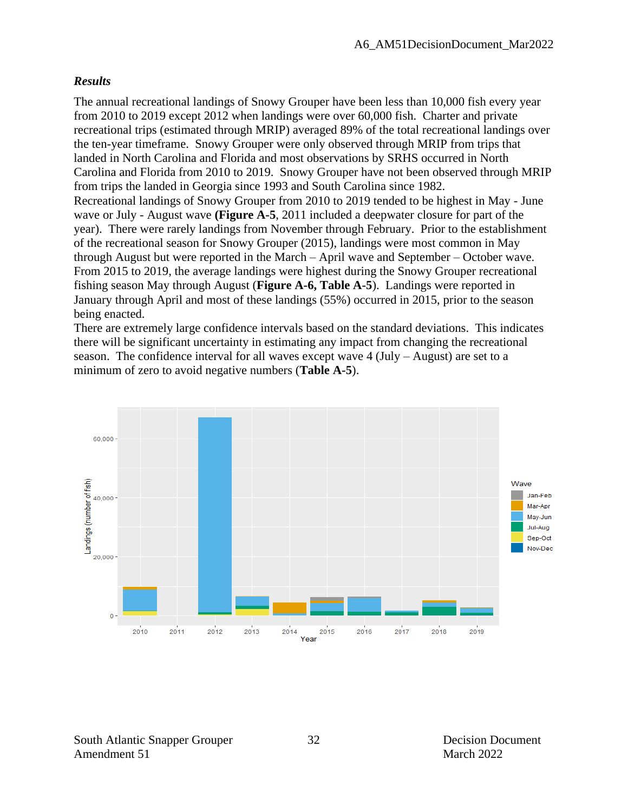#### *Results*

The annual recreational landings of Snowy Grouper have been less than 10,000 fish every year from 2010 to 2019 except 2012 when landings were over 60,000 fish. Charter and private recreational trips (estimated through MRIP) averaged 89% of the total recreational landings over the ten-year timeframe. Snowy Grouper were only observed through MRIP from trips that landed in North Carolina and Florida and most observations by SRHS occurred in North Carolina and Florida from 2010 to 2019. Snowy Grouper have not been observed through MRIP from trips the landed in Georgia since 1993 and South Carolina since 1982. Recreational landings of Snowy Grouper from 2010 to 2019 tended to be highest in May - June wave or July - August wave **(Figure A-5**, 2011 included a deepwater closure for part of the year). There were rarely landings from November through February. Prior to the establishment of the recreational season for Snowy Grouper (2015), landings were most common in May through August but were reported in the March – April wave and September – October wave. From 2015 to 2019, the average landings were highest during the Snowy Grouper recreational fishing season May through August (**Figure A-6, Table A-5**). Landings were reported in January through April and most of these landings (55%) occurred in 2015, prior to the season being enacted.

There are extremely large confidence intervals based on the standard deviations. This indicates there will be significant uncertainty in estimating any impact from changing the recreational season. The confidence interval for all waves except wave  $4$  (July – August) are set to a minimum of zero to avoid negative numbers (**Table A-5**).



South Atlantic Snapper Grouper 32 Decision Document Amendment 51 March 2022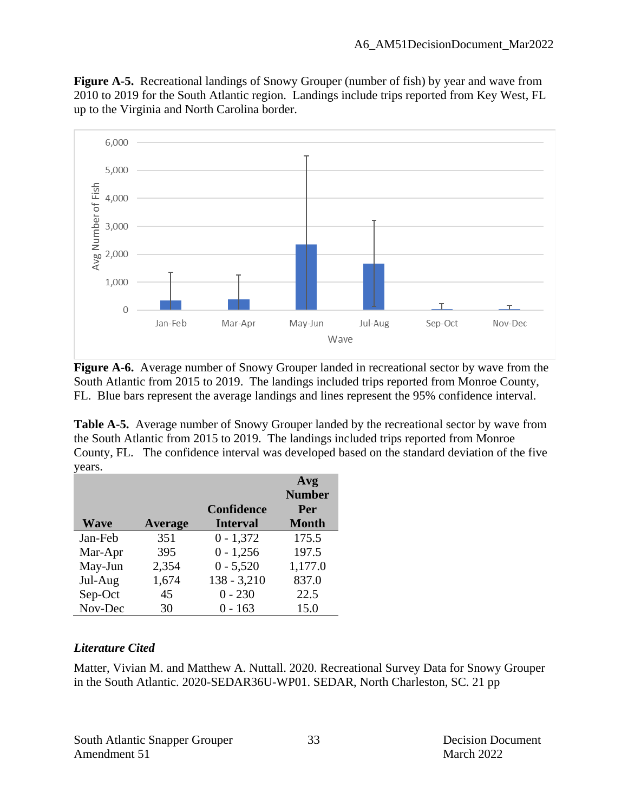**Figure A-5.** Recreational landings of Snowy Grouper (number of fish) by year and wave from 2010 to 2019 for the South Atlantic region. Landings include trips reported from Key West, FL up to the Virginia and North Carolina border.



**Figure A-6.** Average number of Snowy Grouper landed in recreational sector by wave from the South Atlantic from 2015 to 2019. The landings included trips reported from Monroe County, FL. Blue bars represent the average landings and lines represent the 95% confidence interval.

Table A-5. Average number of Snowy Grouper landed by the recreational sector by wave from the South Atlantic from 2015 to 2019. The landings included trips reported from Monroe County, FL. The confidence interval was developed based on the standard deviation of the five years.

|             |                |                   | Avg           |
|-------------|----------------|-------------------|---------------|
|             |                |                   | <b>Number</b> |
|             |                | <b>Confidence</b> | Per           |
| <b>Wave</b> | <b>Average</b> | <b>Interval</b>   | <b>Month</b>  |
| Jan-Feb     | 351            | $0 - 1,372$       | 175.5         |
| Mar-Apr     | 395            | $0 - 1,256$       | 197.5         |
| May-Jun     | 2,354          | $0 - 5,520$       | 1,177.0       |
| Jul-Aug     | 1,674          | $138 - 3,210$     | 837.0         |
| Sep-Oct     | 45             | $0 - 230$         | 22.5          |
| Nov-Dec     | 30             | $0 - 163$         | 15.0          |

#### *Literature Cited*

Matter, Vivian M. and Matthew A. Nuttall. 2020. Recreational Survey Data for Snowy Grouper in the South Atlantic. 2020-SEDAR36U-WP01. SEDAR, North Charleston, SC. 21 pp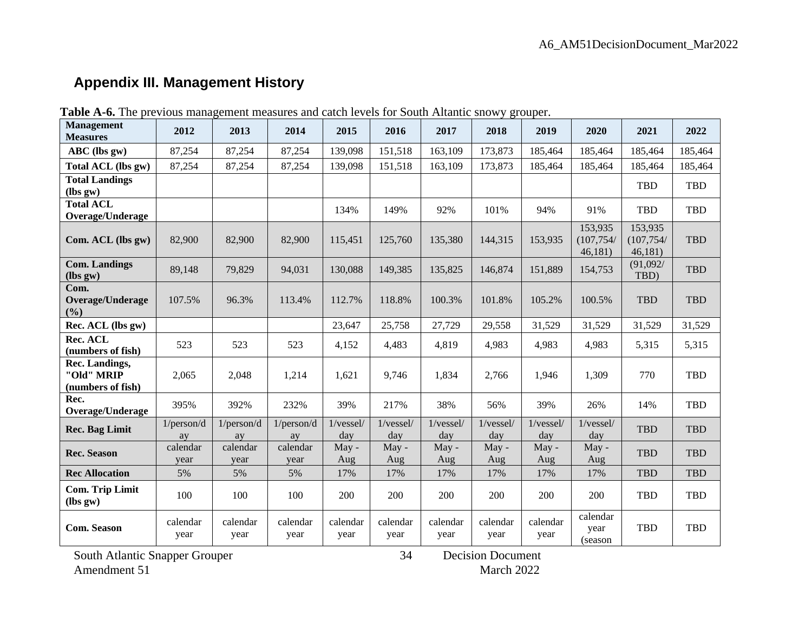# **Appendix III. Management History**

| <b>Management</b><br><b>Measures</b>              | 2012             | 2013             | 2014             | 2015             | 2016             | 2017             | 2018             | 2019                  | 2020                             | 2021                             | 2022       |
|---------------------------------------------------|------------------|------------------|------------------|------------------|------------------|------------------|------------------|-----------------------|----------------------------------|----------------------------------|------------|
| ABC (lbs gw)                                      | 87,254           | 87,254           | 87,254           | 139,098          | 151,518          | 163,109          | 173,873          | 185,464               | 185,464                          | 185,464                          | 185,464    |
| Total ACL (lbs gw)                                | 87,254           | 87,254           | 87,254           | 139,098          | 151,518          | 163,109          | 173,873          | 185,464               | 185,464                          | 185,464                          | 185,464    |
| <b>Total Landings</b><br>$(lbs gw)$               |                  |                  |                  |                  |                  |                  |                  |                       |                                  | TBD                              | TBD        |
| <b>Total ACL</b><br>Overage/Underage              |                  |                  |                  | 134%             | 149%             | 92%              | 101%             | 94%                   | 91%                              | <b>TBD</b>                       | <b>TBD</b> |
| Com. ACL (lbs gw)                                 | 82,900           | 82,900           | 82,900           | 115,451          | 125,760          | 135,380          | 144,315          | 153,935               | 153,935<br>(107, 754/<br>46,181) | 153,935<br>(107, 754/<br>46,181) | <b>TBD</b> |
| <b>Com. Landings</b><br>$(lbs gw)$                | 89,148           | 79,829           | 94,031           | 130,088          | 149,385          | 135,825          | 146,874          | 151,889               | 154,753                          | (91,092/<br>TBD)                 | <b>TBD</b> |
| Com.<br>Overage/Underage<br>(%)                   | 107.5%           | 96.3%            | 113.4%           | 112.7%           | 118.8%           | 100.3%           | 101.8%           | 105.2%                | 100.5%                           | <b>TBD</b>                       | <b>TBD</b> |
| Rec. ACL (lbs gw)                                 |                  |                  |                  | 23,647           | 25,758           | 27,729           | 29,558           | 31,529                | 31,529                           | 31,529                           | 31,529     |
| Rec. ACL<br>(numbers of fish)                     | 523              | 523              | 523              | 4,152            | 4,483            | 4,819            | 4,983            | 4,983                 | 4,983                            | 5,315                            | 5,315      |
| Rec. Landings,<br>"Old" MRIP<br>(numbers of fish) | 2,065            | 2,048            | 1,214            | 1,621            | 9,746            | 1,834            | 2,766            | 1,946                 | 1,309                            | 770                              | <b>TBD</b> |
| Rec.<br>Overage/Underage                          | 395%             | 392%             | 232%             | 39%              | 217%             | 38%              | 56%              | 39%                   | 26%                              | 14%                              | <b>TBD</b> |
| <b>Rec. Bag Limit</b>                             | 1/person/d<br>ay | 1/person/d<br>ay | 1/person/d<br>ay | 1/vessel/<br>day | 1/vessel/<br>day | 1/vessel/<br>day | 1/vessel/<br>day | 1/vessel/<br>day      | 1/vessel/<br>day                 | <b>TBD</b>                       | <b>TBD</b> |
| <b>Rec. Season</b>                                | calendar<br>year | calendar<br>year | calendar<br>year | $M$ ay -<br>Aug  | $May -$<br>Aug   | May -<br>Aug     | $May -$<br>Aug   | $\text{Mav}$ -<br>Aug | May -<br>Aug                     | <b>TBD</b>                       | <b>TBD</b> |
| <b>Rec Allocation</b>                             | 5%               | 5%               | 5%               | 17%              | 17%              | 17%              | 17%              | 17%                   | 17%                              | <b>TBD</b>                       | <b>TBD</b> |
| <b>Com. Trip Limit</b><br>$(lbs gw)$              | 100              | 100              | 100              | 200              | 200              | 200              | 200              | 200                   | 200                              | <b>TBD</b>                       | <b>TBD</b> |
| <b>Com. Season</b>                                | calendar<br>year | calendar<br>year | calendar<br>year | calendar<br>year | calendar<br>year | calendar<br>year | calendar<br>year | calendar<br>year      | calendar<br>year<br>(season)     | <b>TBD</b>                       | <b>TBD</b> |

34

**Table A-6.** The previous management measures and catch levels for South Altantic snowy grouper.

South Atlantic Snapper Grouper  $34$  Decision Document Amendment 51 March 2022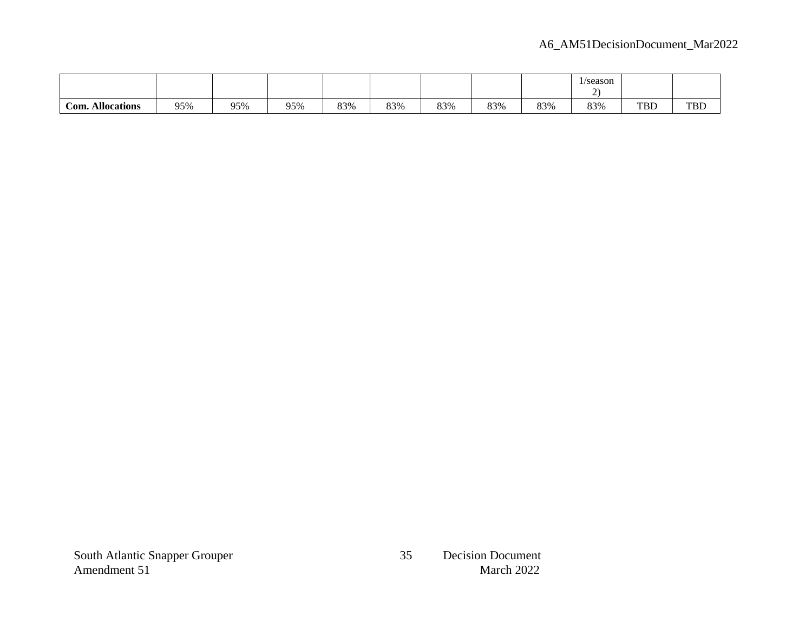|                         |     |     |     |     |     |     |     |     | 1/season |            |            |
|-------------------------|-----|-----|-----|-----|-----|-----|-----|-----|----------|------------|------------|
|                         |     |     |     |     |     |     |     |     |          |            |            |
| <b>Com. Allocations</b> | 95% | 95% | 95% | 83% | 83% | 83% | 83% | 83% | 83%      | <b>TBD</b> | <b>TBD</b> |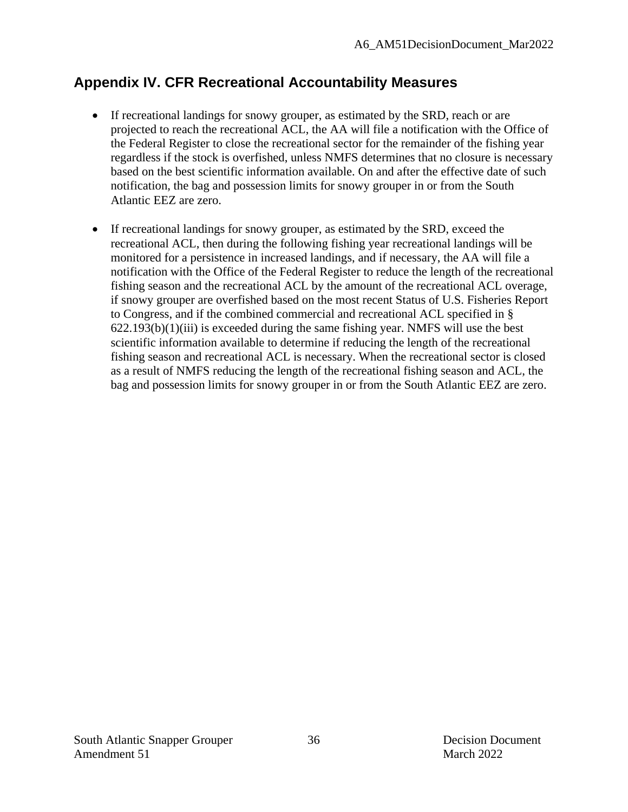## **Appendix IV. CFR Recreational Accountability Measures**

- If recreational landings for snowy grouper, as estimated by the SRD, reach or are projected to reach the recreational ACL, the AA will file a notification with the Office of the Federal Register to close the recreational sector for the remainder of the fishing year regardless if the stock is overfished, unless NMFS determines that no closure is necessary based on the best scientific information available. On and after the effective date of such notification, the bag and possession limits for snowy grouper in or from the South Atlantic EEZ are zero.
- If recreational landings for snowy grouper, as estimated by the SRD, exceed the recreational ACL, then during the following fishing year recreational landings will be monitored for a persistence in increased landings, and if necessary, the AA will file a notification with the Office of the Federal Register to reduce the length of the recreational fishing season and the recreational ACL by the amount of the recreational ACL overage, if snowy grouper are overfished based on the most recent Status of U.S. Fisheries Report to Congress, and if the combined commercial and recreational ACL specified in §  $622.193(b)(1)(iii)$  is exceeded during the same fishing year. NMFS will use the best scientific information available to determine if reducing the length of the recreational fishing season and recreational ACL is necessary. When the recreational sector is closed as a result of NMFS reducing the length of the recreational fishing season and ACL, the bag and possession limits for snowy grouper in or from the South Atlantic EEZ are zero.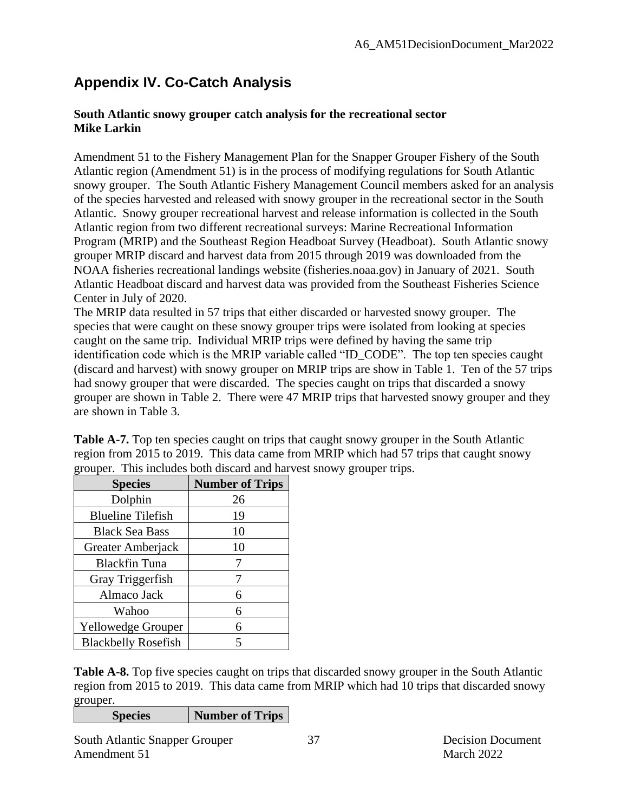# **Appendix IV. Co-Catch Analysis**

#### **South Atlantic snowy grouper catch analysis for the recreational sector Mike Larkin**

Amendment 51 to the Fishery Management Plan for the Snapper Grouper Fishery of the South Atlantic region (Amendment 51) is in the process of modifying regulations for South Atlantic snowy grouper. The South Atlantic Fishery Management Council members asked for an analysis of the species harvested and released with snowy grouper in the recreational sector in the South Atlantic. Snowy grouper recreational harvest and release information is collected in the South Atlantic region from two different recreational surveys: Marine Recreational Information Program (MRIP) and the Southeast Region Headboat Survey (Headboat). South Atlantic snowy grouper MRIP discard and harvest data from 2015 through 2019 was downloaded from the NOAA fisheries recreational landings website (fisheries.noaa.gov) in January of 2021. South Atlantic Headboat discard and harvest data was provided from the Southeast Fisheries Science Center in July of 2020.

The MRIP data resulted in 57 trips that either discarded or harvested snowy grouper. The species that were caught on these snowy grouper trips were isolated from looking at species caught on the same trip. Individual MRIP trips were defined by having the same trip identification code which is the MRIP variable called "ID\_CODE". The top ten species caught (discard and harvest) with snowy grouper on MRIP trips are show in Table 1. Ten of the 57 trips had snowy grouper that were discarded. The species caught on trips that discarded a snowy grouper are shown in Table 2. There were 47 MRIP trips that harvested snowy grouper and they are shown in Table 3.

Table A-7. Top ten species caught on trips that caught snowy grouper in the South Atlantic region from 2015 to 2019. This data came from MRIP which had 57 trips that caught snowy grouper. This includes both discard and harvest snowy grouper trips.

| <b>Species</b>             | <b>Number of Trips</b> |
|----------------------------|------------------------|
| Dolphin                    | 26                     |
| <b>Blueline Tilefish</b>   | 19                     |
| <b>Black Sea Bass</b>      | 10                     |
| Greater Amberjack          | 10                     |
| <b>Blackfin Tuna</b>       |                        |
| Gray Triggerfish           | 7                      |
| Almaco Jack                | 6                      |
| Wahoo                      | 6                      |
| <b>Yellowedge Grouper</b>  | 6                      |
| <b>Blackbelly Rosefish</b> | 5                      |

**Table A-8.** Top five species caught on trips that discarded snowy grouper in the South Atlantic region from 2015 to 2019. This data came from MRIP which had 10 trips that discarded snowy grouper.

**Species Number of Trips**

South Atlantic Snapper Grouper 37 Decision Document Amendment 51 March 2022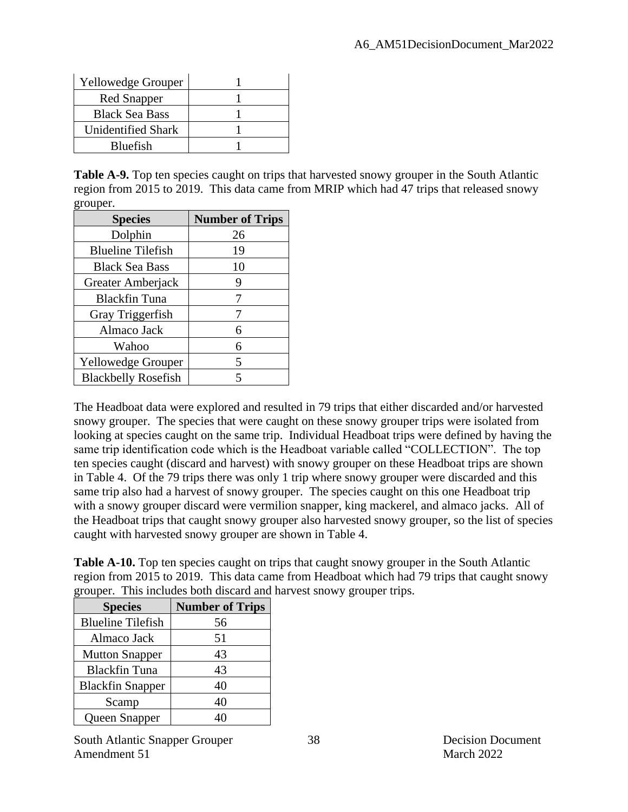| Yellowedge Grouper        |  |
|---------------------------|--|
| <b>Red Snapper</b>        |  |
| <b>Black Sea Bass</b>     |  |
| <b>Unidentified Shark</b> |  |
| Bluefish                  |  |

**Table A-9.** Top ten species caught on trips that harvested snowy grouper in the South Atlantic region from 2015 to 2019. This data came from MRIP which had 47 trips that released snowy grouper.

| <b>Species</b>             | <b>Number of Trips</b> |
|----------------------------|------------------------|
| Dolphin                    | 26                     |
| <b>Blueline Tilefish</b>   | 19                     |
| <b>Black Sea Bass</b>      | 10                     |
| Greater Amberjack          | 9                      |
| <b>Blackfin Tuna</b>       |                        |
| Gray Triggerfish           |                        |
| Almaco Jack                | 6                      |
| Wahoo                      | 6                      |
| <b>Yellowedge Grouper</b>  | 5                      |
| <b>Blackbelly Rosefish</b> |                        |

The Headboat data were explored and resulted in 79 trips that either discarded and/or harvested snowy grouper. The species that were caught on these snowy grouper trips were isolated from looking at species caught on the same trip. Individual Headboat trips were defined by having the same trip identification code which is the Headboat variable called "COLLECTION". The top ten species caught (discard and harvest) with snowy grouper on these Headboat trips are shown in Table 4. Of the 79 trips there was only 1 trip where snowy grouper were discarded and this same trip also had a harvest of snowy grouper. The species caught on this one Headboat trip with a snowy grouper discard were vermilion snapper, king mackerel, and almaco jacks. All of the Headboat trips that caught snowy grouper also harvested snowy grouper, so the list of species caught with harvested snowy grouper are shown in Table 4.

**Table A-10.** Top ten species caught on trips that caught snowy grouper in the South Atlantic region from 2015 to 2019. This data came from Headboat which had 79 trips that caught snowy grouper. This includes both discard and harvest snowy grouper trips.

| <b>Species</b>           | <b>Number of Trips</b> |
|--------------------------|------------------------|
| <b>Blueline Tilefish</b> | 56                     |
| Almaco Jack              | 51                     |
| <b>Mutton Snapper</b>    | 43                     |
| <b>Blackfin Tuna</b>     | 43                     |
| <b>Blackfin Snapper</b>  | 40                     |
| Scamp                    | 40                     |
| Queen Snapper            |                        |

South Atlantic Snapper Grouper 38 Decision Document Amendment 51 March 2022